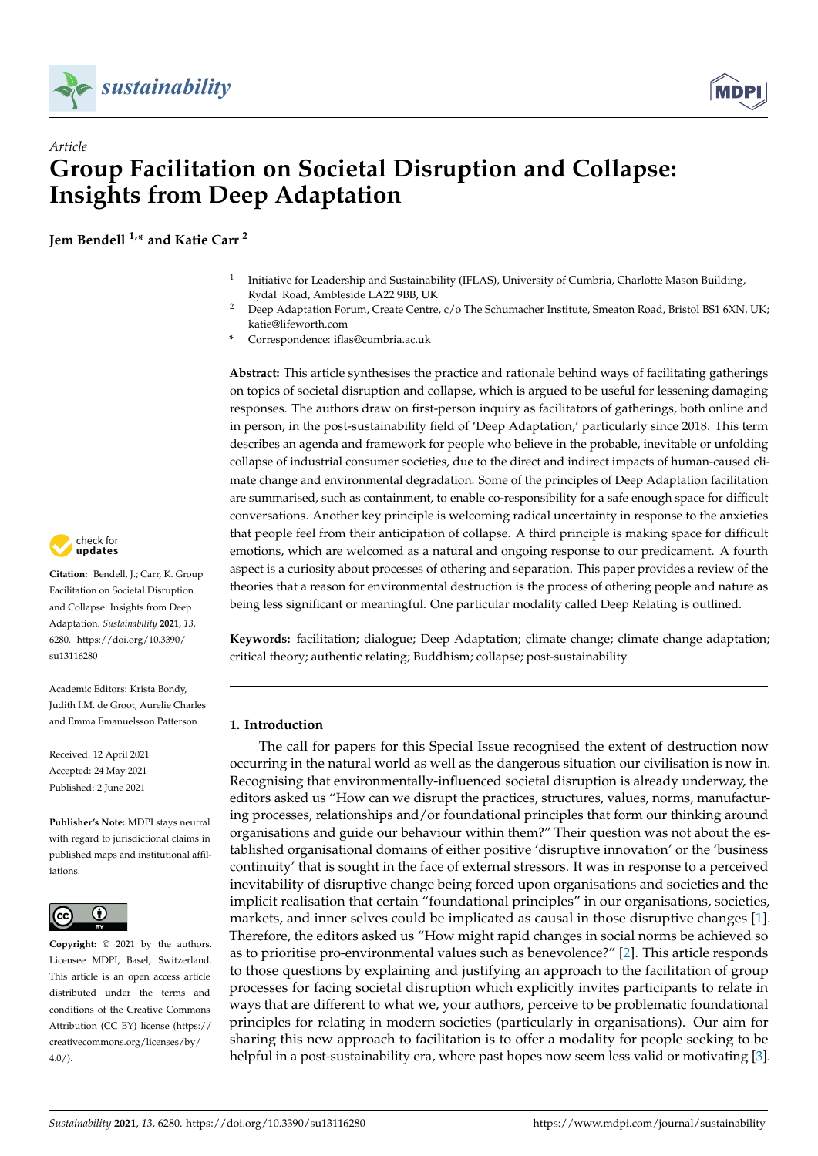



# *Article* **Group Facilitation on Societal Disruption and Collapse: Insights from Deep Adaptation**

**Jem Bendell 1,\* and Katie Carr <sup>2</sup>**

- 1 Initiative for Leadership and Sustainability (IFLAS), University of Cumbria, Charlotte Mason Building, Rydal Road, Ambleside LA22 9BB, UK
- <sup>2</sup> Deep Adaptation Forum, Create Centre, c/o The Schumacher Institute, Smeaton Road, Bristol BS1 6XN, UK; katie@lifeworth.com
- **\*** Correspondence: iflas@cumbria.ac.uk

**Abstract:** This article synthesises the practice and rationale behind ways of facilitating gatherings on topics of societal disruption and collapse, which is argued to be useful for lessening damaging responses. The authors draw on first-person inquiry as facilitators of gatherings, both online and in person, in the post-sustainability field of 'Deep Adaptation,' particularly since 2018. This term describes an agenda and framework for people who believe in the probable, inevitable or unfolding collapse of industrial consumer societies, due to the direct and indirect impacts of human-caused climate change and environmental degradation. Some of the principles of Deep Adaptation facilitation are summarised, such as containment, to enable co-responsibility for a safe enough space for difficult conversations. Another key principle is welcoming radical uncertainty in response to the anxieties that people feel from their anticipation of collapse. A third principle is making space for difficult emotions, which are welcomed as a natural and ongoing response to our predicament. A fourth aspect is a curiosity about processes of othering and separation. This paper provides a review of the theories that a reason for environmental destruction is the process of othering people and nature as being less significant or meaningful. One particular modality called Deep Relating is outlined.

**Keywords:** facilitation; dialogue; Deep Adaptation; climate change; climate change adaptation; critical theory; authentic relating; Buddhism; collapse; post-sustainability

# **1. Introduction**

The call for papers for this Special Issue recognised the extent of destruction now occurring in the natural world as well as the dangerous situation our civilisation is now in. Recognising that environmentally-influenced societal disruption is already underway, the editors asked us "How can we disrupt the practices, structures, values, norms, manufacturing processes, relationships and/or foundational principles that form our thinking around organisations and guide our behaviour within them?" Their question was not about the established organisational domains of either positive 'disruptive innovation' or the 'business continuity' that is sought in the face of external stressors. It was in response to a perceived inevitability of disruptive change being forced upon organisations and societies and the implicit realisation that certain "foundational principles" in our organisations, societies, markets, and inner selves could be implicated as causal in those disruptive changes [\[1\]](#page-16-0). Therefore, the editors asked us "How might rapid changes in social norms be achieved so as to prioritise pro-environmental values such as benevolence?" [\[2\]](#page-16-1). This article responds to those questions by explaining and justifying an approach to the facilitation of group processes for facing societal disruption which explicitly invites participants to relate in ways that are different to what we, your authors, perceive to be problematic foundational principles for relating in modern societies (particularly in organisations). Our aim for sharing this new approach to facilitation is to offer a modality for people seeking to be helpful in a post-sustainability era, where past hopes now seem less valid or motivating [\[3\]](#page-16-2).



**Citation:** Bendell, J.; Carr, K. Group Facilitation on Societal Disruption and Collapse: Insights from Deep Adaptation. *Sustainability* **2021**, *13*, 6280. [https://doi.org/10.3390/](https://doi.org/10.3390/su13116280) [su13116280](https://doi.org/10.3390/su13116280)

Academic Editors: Krista Bondy, Judith I.M. de Groot, Aurelie Charles and Emma Emanuelsson Patterson

Received: 12 April 2021 Accepted: 24 May 2021 Published: 2 June 2021

**Publisher's Note:** MDPI stays neutral with regard to jurisdictional claims in published maps and institutional affiliations.



**Copyright:** © 2021 by the authors. Licensee MDPI, Basel, Switzerland. This article is an open access article distributed under the terms and conditions of the Creative Commons Attribution (CC BY) license (https:/[/](https://creativecommons.org/licenses/by/4.0/) [creativecommons.org/licenses/by/](https://creativecommons.org/licenses/by/4.0/)  $4.0/$ ).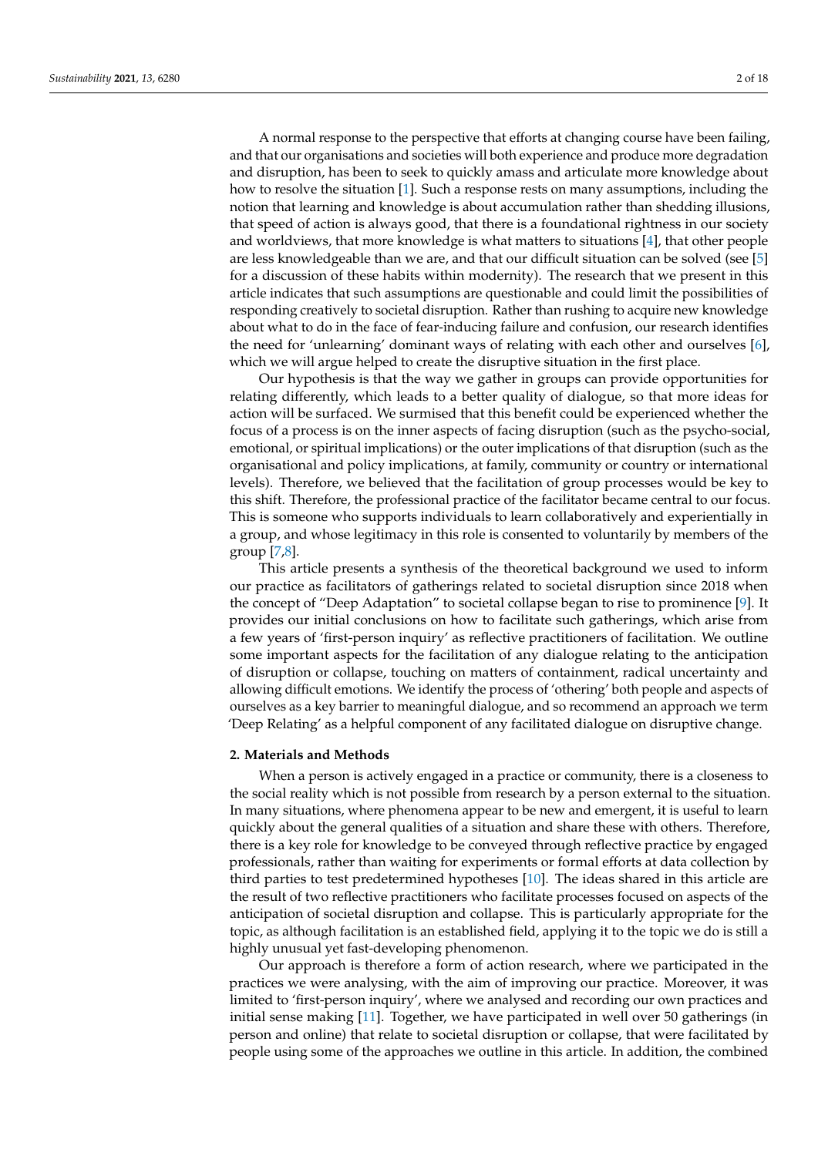A normal response to the perspective that efforts at changing course have been failing, and that our organisations and societies will both experience and produce more degradation and disruption, has been to seek to quickly amass and articulate more knowledge about how to resolve the situation [\[1\]](#page-16-0). Such a response rests on many assumptions, including the notion that learning and knowledge is about accumulation rather than shedding illusions, that speed of action is always good, that there is a foundational rightness in our society and worldviews, that more knowledge is what matters to situations [\[4\]](#page-16-3), that other people are less knowledgeable than we are, and that our difficult situation can be solved (see [\[5\]](#page-16-4) for a discussion of these habits within modernity). The research that we present in this article indicates that such assumptions are questionable and could limit the possibilities of responding creatively to societal disruption. Rather than rushing to acquire new knowledge about what to do in the face of fear-inducing failure and confusion, our research identifies the need for 'unlearning' dominant ways of relating with each other and ourselves [\[6\]](#page-16-5), which we will argue helped to create the disruptive situation in the first place.

Our hypothesis is that the way we gather in groups can provide opportunities for relating differently, which leads to a better quality of dialogue, so that more ideas for action will be surfaced. We surmised that this benefit could be experienced whether the focus of a process is on the inner aspects of facing disruption (such as the psycho-social, emotional, or spiritual implications) or the outer implications of that disruption (such as the organisational and policy implications, at family, community or country or international levels). Therefore, we believed that the facilitation of group processes would be key to this shift. Therefore, the professional practice of the facilitator became central to our focus. This is someone who supports individuals to learn collaboratively and experientially in a group, and whose legitimacy in this role is consented to voluntarily by members of the group [\[7](#page-16-6)[,8\]](#page-16-7).

This article presents a synthesis of the theoretical background we used to inform our practice as facilitators of gatherings related to societal disruption since 2018 when the concept of "Deep Adaptation" to societal collapse began to rise to prominence [\[9\]](#page-16-8). It provides our initial conclusions on how to facilitate such gatherings, which arise from a few years of 'first-person inquiry' as reflective practitioners of facilitation. We outline some important aspects for the facilitation of any dialogue relating to the anticipation of disruption or collapse, touching on matters of containment, radical uncertainty and allowing difficult emotions. We identify the process of 'othering' both people and aspects of ourselves as a key barrier to meaningful dialogue, and so recommend an approach we term 'Deep Relating' as a helpful component of any facilitated dialogue on disruptive change.

#### **2. Materials and Methods**

When a person is actively engaged in a practice or community, there is a closeness to the social reality which is not possible from research by a person external to the situation. In many situations, where phenomena appear to be new and emergent, it is useful to learn quickly about the general qualities of a situation and share these with others. Therefore, there is a key role for knowledge to be conveyed through reflective practice by engaged professionals, rather than waiting for experiments or formal efforts at data collection by third parties to test predetermined hypotheses [\[10\]](#page-16-9). The ideas shared in this article are the result of two reflective practitioners who facilitate processes focused on aspects of the anticipation of societal disruption and collapse. This is particularly appropriate for the topic, as although facilitation is an established field, applying it to the topic we do is still a highly unusual yet fast-developing phenomenon.

Our approach is therefore a form of action research, where we participated in the practices we were analysing, with the aim of improving our practice. Moreover, it was limited to 'first-person inquiry', where we analysed and recording our own practices and initial sense making [\[11\]](#page-16-10). Together, we have participated in well over 50 gatherings (in person and online) that relate to societal disruption or collapse, that were facilitated by people using some of the approaches we outline in this article. In addition, the combined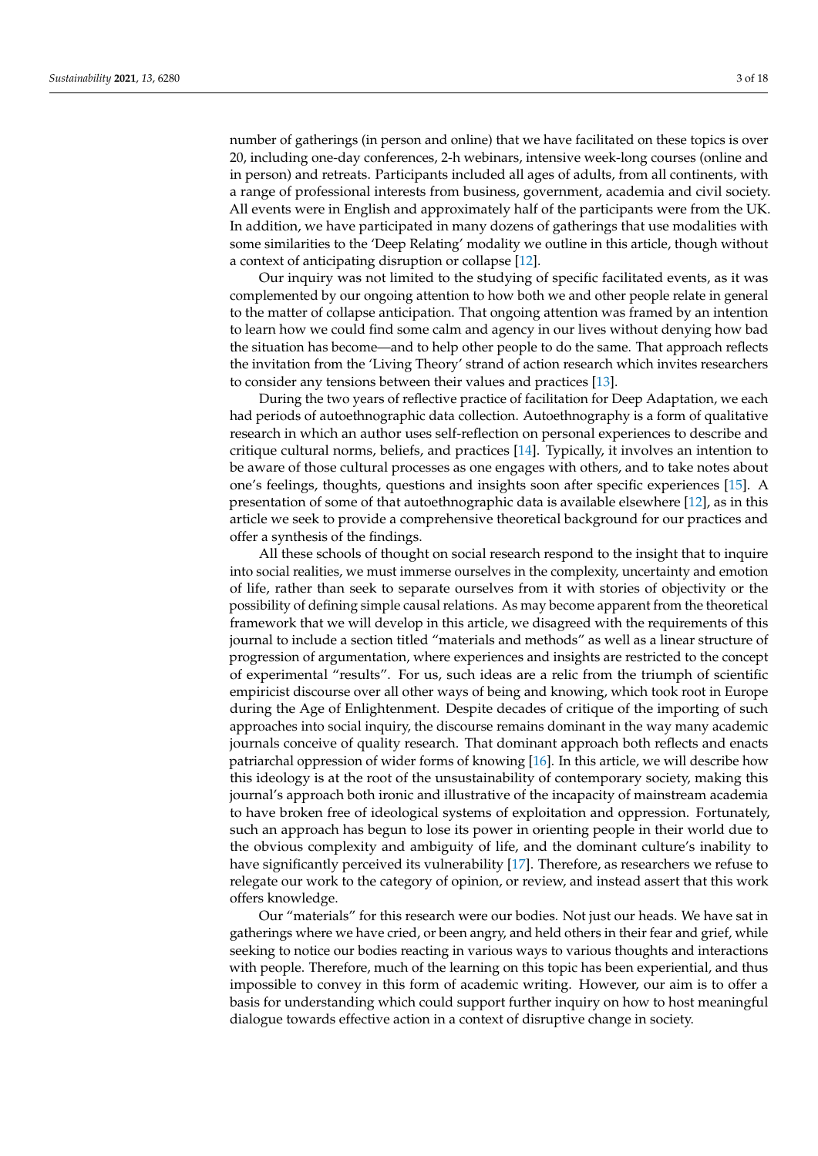number of gatherings (in person and online) that we have facilitated on these topics is over 20, including one-day conferences, 2-h webinars, intensive week-long courses (online and in person) and retreats. Participants included all ages of adults, from all continents, with a range of professional interests from business, government, academia and civil society. All events were in English and approximately half of the participants were from the UK. In addition, we have participated in many dozens of gatherings that use modalities with some similarities to the 'Deep Relating' modality we outline in this article, though without a context of anticipating disruption or collapse [\[12\]](#page-16-11).

Our inquiry was not limited to the studying of specific facilitated events, as it was complemented by our ongoing attention to how both we and other people relate in general to the matter of collapse anticipation. That ongoing attention was framed by an intention to learn how we could find some calm and agency in our lives without denying how bad the situation has become—and to help other people to do the same. That approach reflects the invitation from the 'Living Theory' strand of action research which invites researchers to consider any tensions between their values and practices [\[13\]](#page-16-12).

During the two years of reflective practice of facilitation for Deep Adaptation, we each had periods of autoethnographic data collection. Autoethnography is a form of qualitative research in which an author uses self-reflection on personal experiences to describe and critique cultural norms, beliefs, and practices [\[14\]](#page-16-13). Typically, it involves an intention to be aware of those cultural processes as one engages with others, and to take notes about one's feelings, thoughts, questions and insights soon after specific experiences [\[15\]](#page-16-14). A presentation of some of that autoethnographic data is available elsewhere [\[12\]](#page-16-11), as in this article we seek to provide a comprehensive theoretical background for our practices and offer a synthesis of the findings.

All these schools of thought on social research respond to the insight that to inquire into social realities, we must immerse ourselves in the complexity, uncertainty and emotion of life, rather than seek to separate ourselves from it with stories of objectivity or the possibility of defining simple causal relations. As may become apparent from the theoretical framework that we will develop in this article, we disagreed with the requirements of this journal to include a section titled "materials and methods" as well as a linear structure of progression of argumentation, where experiences and insights are restricted to the concept of experimental "results". For us, such ideas are a relic from the triumph of scientific empiricist discourse over all other ways of being and knowing, which took root in Europe during the Age of Enlightenment. Despite decades of critique of the importing of such approaches into social inquiry, the discourse remains dominant in the way many academic journals conceive of quality research. That dominant approach both reflects and enacts patriarchal oppression of wider forms of knowing [\[16\]](#page-16-15). In this article, we will describe how this ideology is at the root of the unsustainability of contemporary society, making this journal's approach both ironic and illustrative of the incapacity of mainstream academia to have broken free of ideological systems of exploitation and oppression. Fortunately, such an approach has begun to lose its power in orienting people in their world due to the obvious complexity and ambiguity of life, and the dominant culture's inability to have significantly perceived its vulnerability [\[17\]](#page-16-16). Therefore, as researchers we refuse to relegate our work to the category of opinion, or review, and instead assert that this work offers knowledge.

Our "materials" for this research were our bodies. Not just our heads. We have sat in gatherings where we have cried, or been angry, and held others in their fear and grief, while seeking to notice our bodies reacting in various ways to various thoughts and interactions with people. Therefore, much of the learning on this topic has been experiential, and thus impossible to convey in this form of academic writing. However, our aim is to offer a basis for understanding which could support further inquiry on how to host meaningful dialogue towards effective action in a context of disruptive change in society.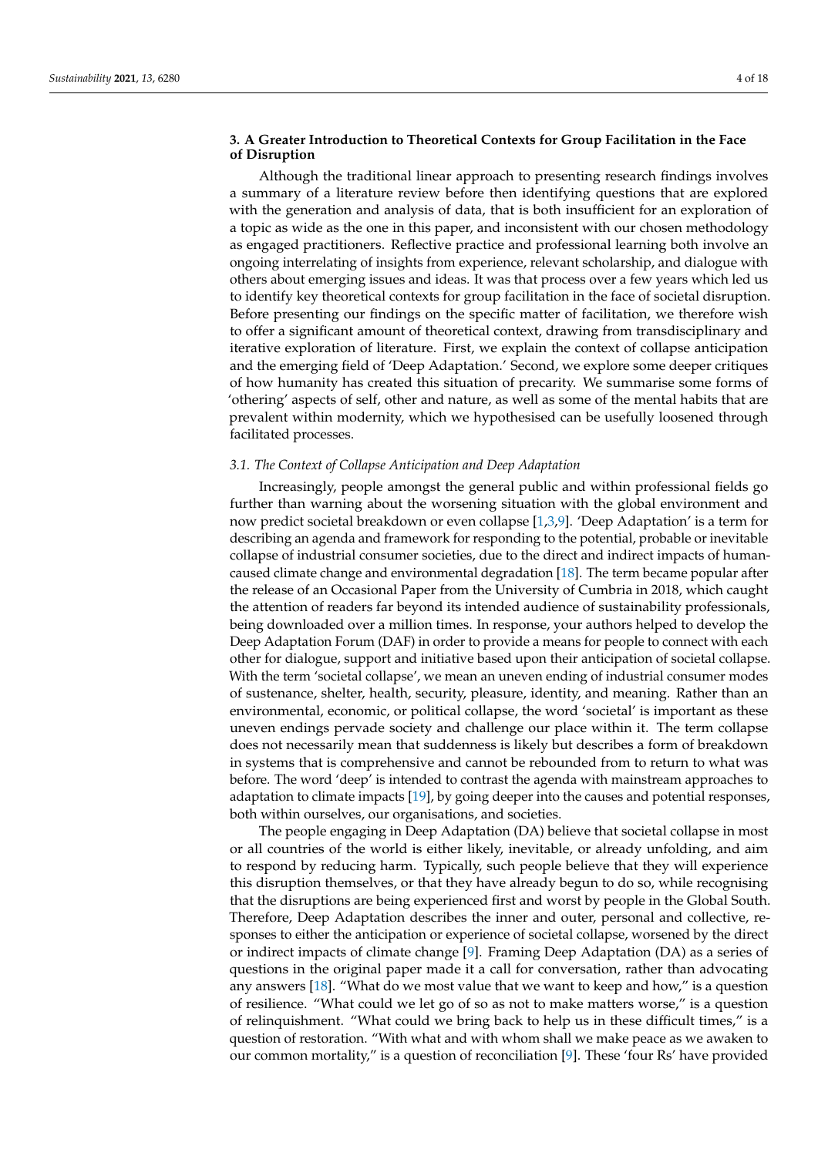# **3. A Greater Introduction to Theoretical Contexts for Group Facilitation in the Face of Disruption**

Although the traditional linear approach to presenting research findings involves a summary of a literature review before then identifying questions that are explored with the generation and analysis of data, that is both insufficient for an exploration of a topic as wide as the one in this paper, and inconsistent with our chosen methodology as engaged practitioners. Reflective practice and professional learning both involve an ongoing interrelating of insights from experience, relevant scholarship, and dialogue with others about emerging issues and ideas. It was that process over a few years which led us to identify key theoretical contexts for group facilitation in the face of societal disruption. Before presenting our findings on the specific matter of facilitation, we therefore wish to offer a significant amount of theoretical context, drawing from transdisciplinary and iterative exploration of literature. First, we explain the context of collapse anticipation and the emerging field of 'Deep Adaptation.' Second, we explore some deeper critiques of how humanity has created this situation of precarity. We summarise some forms of 'othering' aspects of self, other and nature, as well as some of the mental habits that are prevalent within modernity, which we hypothesised can be usefully loosened through facilitated processes.

#### *3.1. The Context of Collapse Anticipation and Deep Adaptation*

Increasingly, people amongst the general public and within professional fields go further than warning about the worsening situation with the global environment and now predict societal breakdown or even collapse  $[1,3,9]$  $[1,3,9]$  $[1,3,9]$ . 'Deep Adaptation' is a term for describing an agenda and framework for responding to the potential, probable or inevitable collapse of industrial consumer societies, due to the direct and indirect impacts of humancaused climate change and environmental degradation [\[18\]](#page-16-17). The term became popular after the release of an Occasional Paper from the University of Cumbria in 2018, which caught the attention of readers far beyond its intended audience of sustainability professionals, being downloaded over a million times. In response, your authors helped to develop the Deep Adaptation Forum (DAF) in order to provide a means for people to connect with each other for dialogue, support and initiative based upon their anticipation of societal collapse. With the term 'societal collapse', we mean an uneven ending of industrial consumer modes of sustenance, shelter, health, security, pleasure, identity, and meaning. Rather than an environmental, economic, or political collapse, the word 'societal' is important as these uneven endings pervade society and challenge our place within it. The term collapse does not necessarily mean that suddenness is likely but describes a form of breakdown in systems that is comprehensive and cannot be rebounded from to return to what was before. The word 'deep' is intended to contrast the agenda with mainstream approaches to adaptation to climate impacts [\[19\]](#page-16-18), by going deeper into the causes and potential responses, both within ourselves, our organisations, and societies.

The people engaging in Deep Adaptation (DA) believe that societal collapse in most or all countries of the world is either likely, inevitable, or already unfolding, and aim to respond by reducing harm. Typically, such people believe that they will experience this disruption themselves, or that they have already begun to do so, while recognising that the disruptions are being experienced first and worst by people in the Global South. Therefore, Deep Adaptation describes the inner and outer, personal and collective, responses to either the anticipation or experience of societal collapse, worsened by the direct or indirect impacts of climate change [\[9\]](#page-16-8). Framing Deep Adaptation (DA) as a series of questions in the original paper made it a call for conversation, rather than advocating any answers [\[18\]](#page-16-17). "What do we most value that we want to keep and how," is a question of resilience. "What could we let go of so as not to make matters worse," is a question of relinquishment. "What could we bring back to help us in these difficult times," is a question of restoration. "With what and with whom shall we make peace as we awaken to our common mortality," is a question of reconciliation [\[9\]](#page-16-8). These 'four Rs' have provided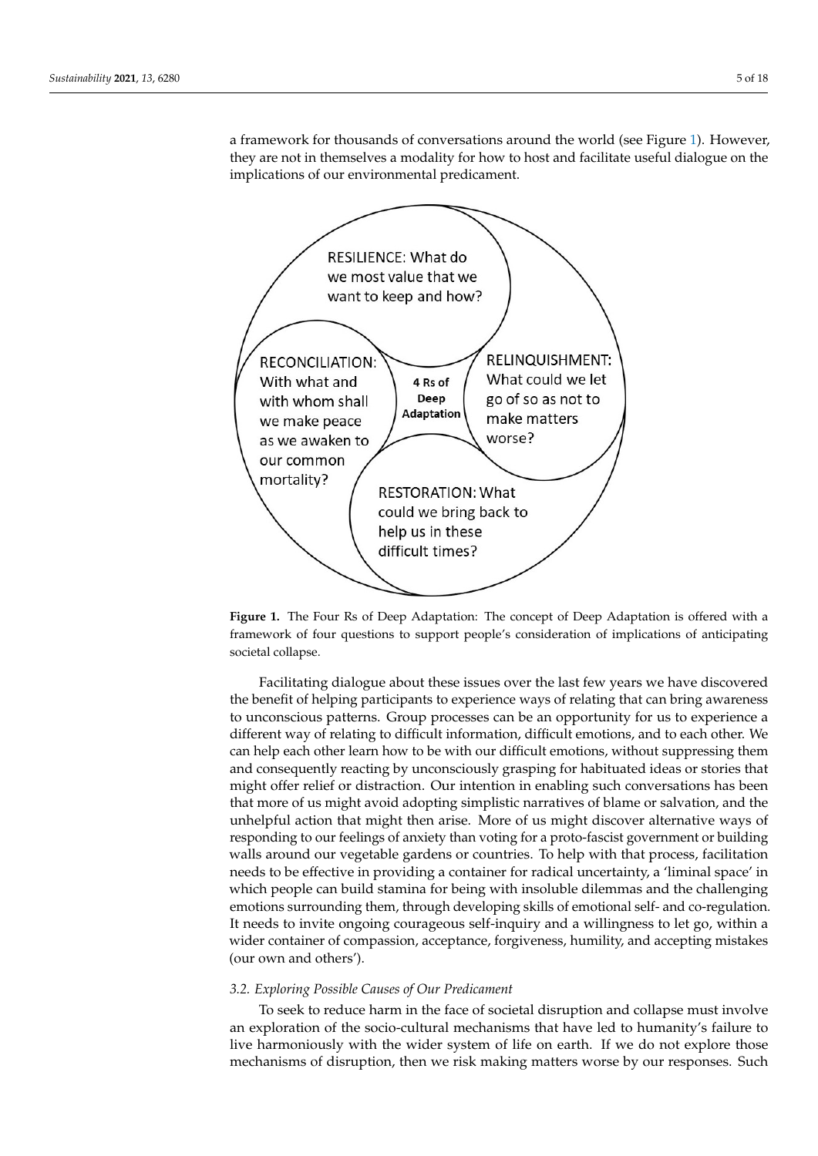a framework for thousands of conversations around the world (see Figure [1\)](#page-4-0). However, framework for thousands of conversations around the world (see Figure 1). However, they are not in themselves a modality for how to host and facilitate useful dialogue on the they are not in themselves a modality for how to host and facilitate useful dialogue on the implications of our environmental predicament. implications of our environmental predicament.

tion of restoration. "With what and with whom shall we make peace as we awaken to our

<span id="page-4-0"></span>

framework of four questions to support people's consideration of implications of anticipating  $\rm{social~collapse.}$ **Figure 1.** The Four Rs of Deep Adaptation: The concept of Deep Adaptation is offered with a

the benefit of helping participants to experience ways of relating that can bring awareness to unconscious patterns. Group processes can be an opportunity for us to experience a different way of relating to difficult information, difficult emotions, and to each other. We can help each other learn how to be with our difficult emotions, without suppressing them and consequently reacting by unconsciously grasping for habituated ideas or stories that might offer relief or distraction. Our intention in enabling such conversations has been that more of us might avoid adopting simplistic narratives of blame or salvation, and the unhelpful action that might then arise. More of us might discover alternative ways of responding to our feelings of anxiety than voting for a proto-fascist government or building walls around our vegetable gardens or countries. To help with that process, facilitation needs to be effective in providing a container for radical uncertainty, a 'liminal space' in which people can build stamina for being with insoluble dilemmas and the challenging<br> emotions surrounding them, through developing skills of emotional self- and co-regulation.<br> It needs to invite ongoing courageous self-inquiry and a willingness to let go, within a<br> wider container of compassion, acceptance, forgiveness, humility, and accepting mistakes  $\alpha$  with and officity, for  $\alpha$ Facilitating dialogue about these issues over the last few years we have discovered (our own and others').

# 3.2. Exploring Possible Causes of Our Predicament

To seek to reduce harm in the face of societal disruption and collapse must involve an exploration of the socio-cultural mechanisms that have led to humanity's failure to live harmoniously with the wider system of life on earth. If we do not explore those mechanisms of disruption, then we risk making matters worse by our responses. Such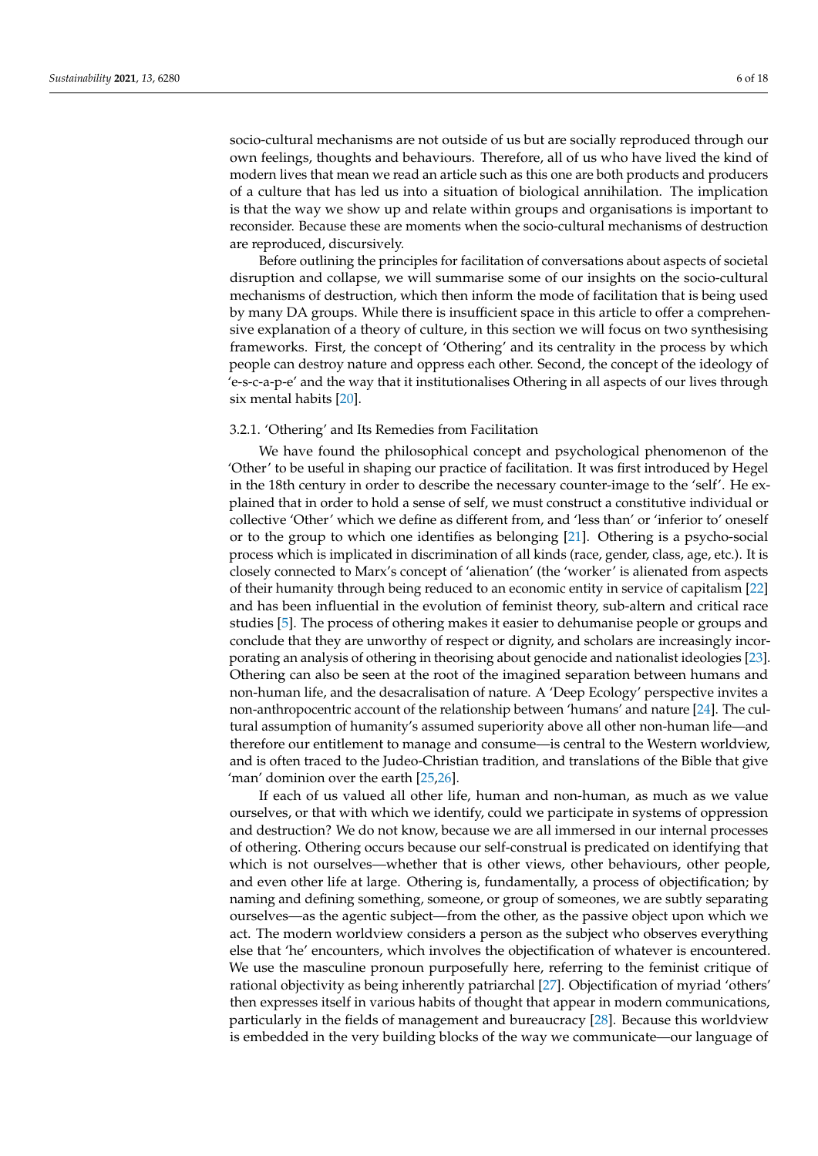socio-cultural mechanisms are not outside of us but are socially reproduced through our own feelings, thoughts and behaviours. Therefore, all of us who have lived the kind of modern lives that mean we read an article such as this one are both products and producers of a culture that has led us into a situation of biological annihilation. The implication is that the way we show up and relate within groups and organisations is important to reconsider. Because these are moments when the socio-cultural mechanisms of destruction are reproduced, discursively.

Before outlining the principles for facilitation of conversations about aspects of societal disruption and collapse, we will summarise some of our insights on the socio-cultural mechanisms of destruction, which then inform the mode of facilitation that is being used by many DA groups. While there is insufficient space in this article to offer a comprehensive explanation of a theory of culture, in this section we will focus on two synthesising frameworks. First, the concept of 'Othering' and its centrality in the process by which people can destroy nature and oppress each other. Second, the concept of the ideology of 'e-s-c-a-p-e' and the way that it institutionalises Othering in all aspects of our lives through six mental habits [\[20\]](#page-16-19).

# 3.2.1. 'Othering' and Its Remedies from Facilitation

We have found the philosophical concept and psychological phenomenon of the 'Other' to be useful in shaping our practice of facilitation. It was first introduced by Hegel in the 18th century in order to describe the necessary counter-image to the 'self'. He explained that in order to hold a sense of self, we must construct a constitutive individual or collective 'Other' which we define as different from, and 'less than' or 'inferior to' oneself or to the group to which one identifies as belonging [\[21\]](#page-16-20). Othering is a psycho-social process which is implicated in discrimination of all kinds (race, gender, class, age, etc.). It is closely connected to Marx's concept of 'alienation' (the 'worker' is alienated from aspects of their humanity through being reduced to an economic entity in service of capitalism [\[22\]](#page-16-21) and has been influential in the evolution of feminist theory, sub-altern and critical race studies [\[5\]](#page-16-4). The process of othering makes it easier to dehumanise people or groups and conclude that they are unworthy of respect or dignity, and scholars are increasingly incorporating an analysis of othering in theorising about genocide and nationalist ideologies [\[23\]](#page-16-22). Othering can also be seen at the root of the imagined separation between humans and non-human life, and the desacralisation of nature. A 'Deep Ecology' perspective invites a non-anthropocentric account of the relationship between 'humans' and nature [\[24\]](#page-16-23). The cultural assumption of humanity's assumed superiority above all other non-human life—and therefore our entitlement to manage and consume—is central to the Western worldview, and is often traced to the Judeo-Christian tradition, and translations of the Bible that give 'man' dominion over the earth [\[25,](#page-16-24)[26\]](#page-16-25).

If each of us valued all other life, human and non-human, as much as we value ourselves, or that with which we identify, could we participate in systems of oppression and destruction? We do not know, because we are all immersed in our internal processes of othering. Othering occurs because our self-construal is predicated on identifying that which is not ourselves—whether that is other views, other behaviours, other people, and even other life at large. Othering is, fundamentally, a process of objectification; by naming and defining something, someone, or group of someones, we are subtly separating ourselves—as the agentic subject—from the other, as the passive object upon which we act. The modern worldview considers a person as the subject who observes everything else that 'he' encounters, which involves the objectification of whatever is encountered. We use the masculine pronoun purposefully here, referring to the feminist critique of rational objectivity as being inherently patriarchal [\[27\]](#page-16-26). Objectification of myriad 'others' then expresses itself in various habits of thought that appear in modern communications, particularly in the fields of management and bureaucracy [\[28\]](#page-16-27). Because this worldview is embedded in the very building blocks of the way we communicate—our language of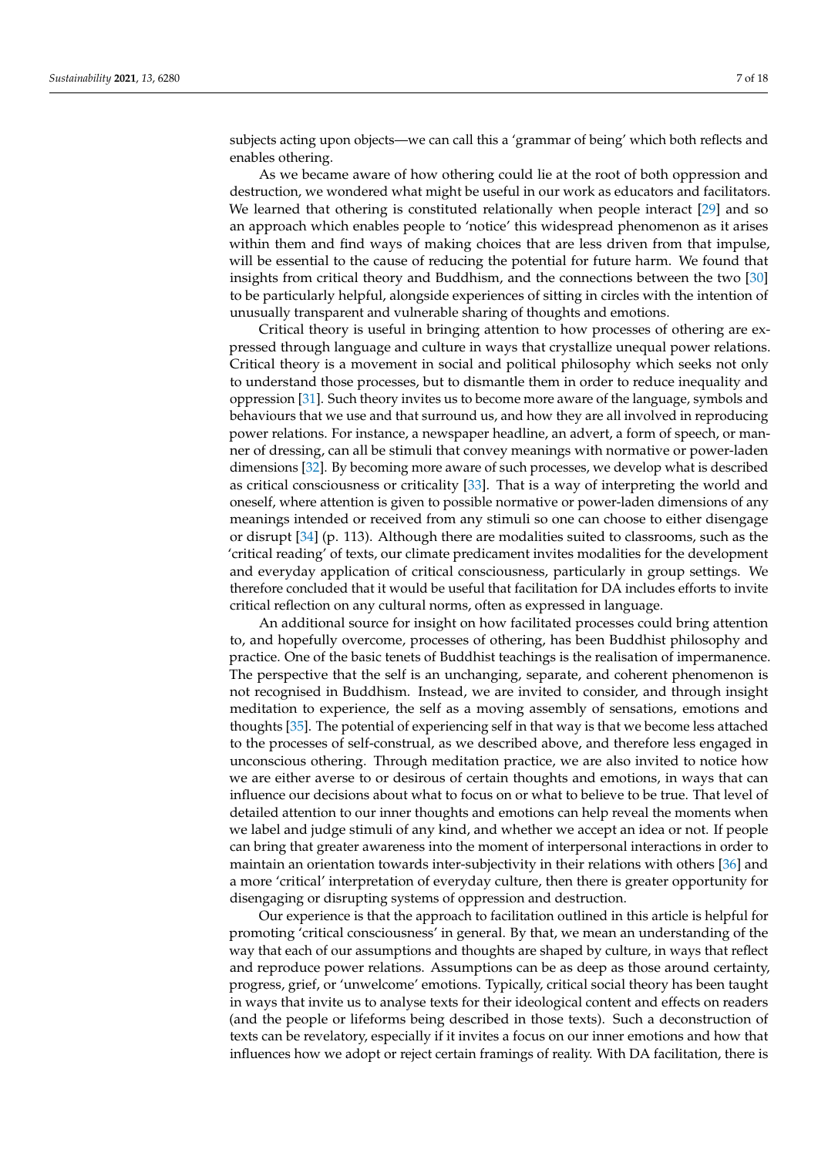subjects acting upon objects—we can call this a 'grammar of being' which both reflects and enables othering.

As we became aware of how othering could lie at the root of both oppression and destruction, we wondered what might be useful in our work as educators and facilitators. We learned that othering is constituted relationally when people interact [\[29\]](#page-16-28) and so an approach which enables people to 'notice' this widespread phenomenon as it arises within them and find ways of making choices that are less driven from that impulse, will be essential to the cause of reducing the potential for future harm. We found that insights from critical theory and Buddhism, and the connections between the two [\[30\]](#page-16-29) to be particularly helpful, alongside experiences of sitting in circles with the intention of unusually transparent and vulnerable sharing of thoughts and emotions.

Critical theory is useful in bringing attention to how processes of othering are expressed through language and culture in ways that crystallize unequal power relations. Critical theory is a movement in social and political philosophy which seeks not only to understand those processes, but to dismantle them in order to reduce inequality and oppression [\[31\]](#page-16-30). Such theory invites us to become more aware of the language, symbols and behaviours that we use and that surround us, and how they are all involved in reproducing power relations. For instance, a newspaper headline, an advert, a form of speech, or manner of dressing, can all be stimuli that convey meanings with normative or power-laden dimensions [\[32\]](#page-16-31). By becoming more aware of such processes, we develop what is described as critical consciousness or criticality [\[33\]](#page-17-0). That is a way of interpreting the world and oneself, where attention is given to possible normative or power-laden dimensions of any meanings intended or received from any stimuli so one can choose to either disengage or disrupt [\[34\]](#page-17-1) (p. 113). Although there are modalities suited to classrooms, such as the 'critical reading' of texts, our climate predicament invites modalities for the development and everyday application of critical consciousness, particularly in group settings. We therefore concluded that it would be useful that facilitation for DA includes efforts to invite critical reflection on any cultural norms, often as expressed in language.

An additional source for insight on how facilitated processes could bring attention to, and hopefully overcome, processes of othering, has been Buddhist philosophy and practice. One of the basic tenets of Buddhist teachings is the realisation of impermanence. The perspective that the self is an unchanging, separate, and coherent phenomenon is not recognised in Buddhism. Instead, we are invited to consider, and through insight meditation to experience, the self as a moving assembly of sensations, emotions and thoughts [\[35\]](#page-17-2). The potential of experiencing self in that way is that we become less attached to the processes of self-construal, as we described above, and therefore less engaged in unconscious othering. Through meditation practice, we are also invited to notice how we are either averse to or desirous of certain thoughts and emotions, in ways that can influence our decisions about what to focus on or what to believe to be true. That level of detailed attention to our inner thoughts and emotions can help reveal the moments when we label and judge stimuli of any kind, and whether we accept an idea or not. If people can bring that greater awareness into the moment of interpersonal interactions in order to maintain an orientation towards inter-subjectivity in their relations with others [\[36\]](#page-17-3) and a more 'critical' interpretation of everyday culture, then there is greater opportunity for disengaging or disrupting systems of oppression and destruction.

Our experience is that the approach to facilitation outlined in this article is helpful for promoting 'critical consciousness' in general. By that, we mean an understanding of the way that each of our assumptions and thoughts are shaped by culture, in ways that reflect and reproduce power relations. Assumptions can be as deep as those around certainty, progress, grief, or 'unwelcome' emotions. Typically, critical social theory has been taught in ways that invite us to analyse texts for their ideological content and effects on readers (and the people or lifeforms being described in those texts). Such a deconstruction of texts can be revelatory, especially if it invites a focus on our inner emotions and how that influences how we adopt or reject certain framings of reality. With DA facilitation, there is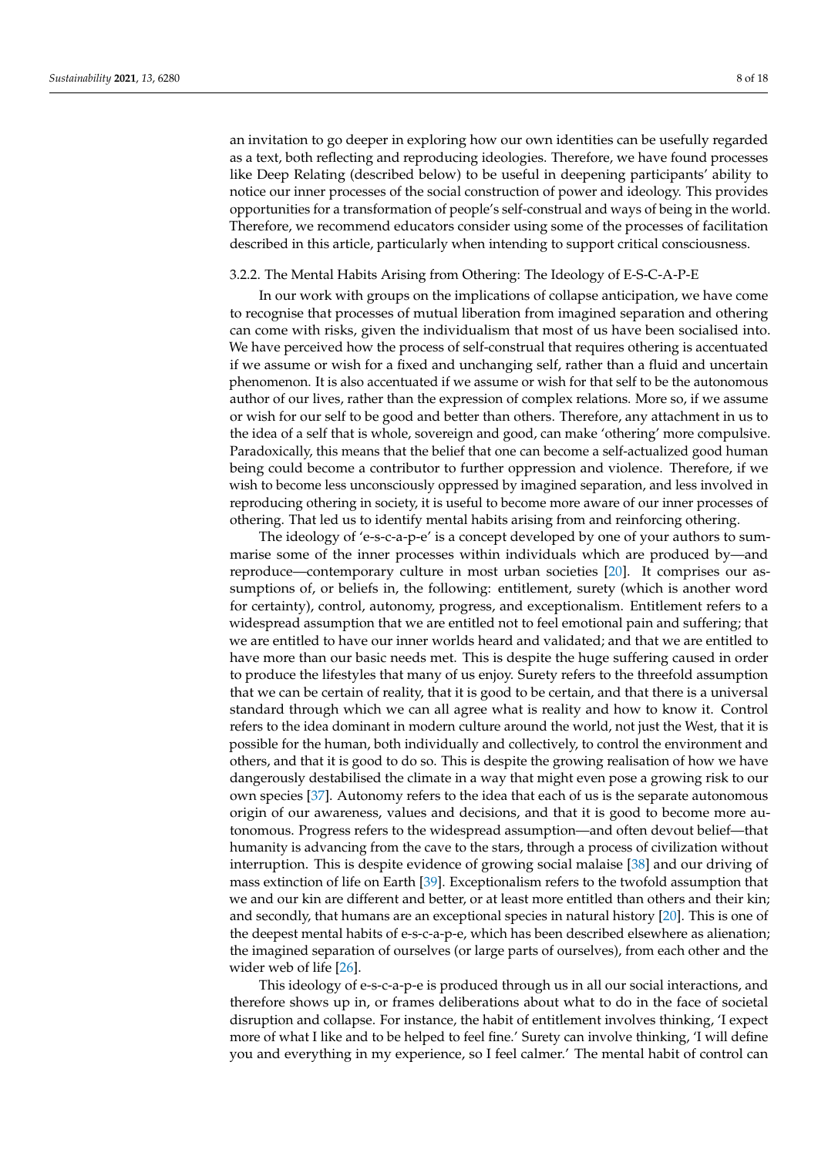an invitation to go deeper in exploring how our own identities can be usefully regarded as a text, both reflecting and reproducing ideologies. Therefore, we have found processes like Deep Relating (described below) to be useful in deepening participants' ability to notice our inner processes of the social construction of power and ideology. This provides opportunities for a transformation of people's self-construal and ways of being in the world. Therefore, we recommend educators consider using some of the processes of facilitation described in this article, particularly when intending to support critical consciousness.

### 3.2.2. The Mental Habits Arising from Othering: The Ideology of E-S-C-A-P-E

In our work with groups on the implications of collapse anticipation, we have come to recognise that processes of mutual liberation from imagined separation and othering can come with risks, given the individualism that most of us have been socialised into. We have perceived how the process of self-construal that requires othering is accentuated if we assume or wish for a fixed and unchanging self, rather than a fluid and uncertain phenomenon. It is also accentuated if we assume or wish for that self to be the autonomous author of our lives, rather than the expression of complex relations. More so, if we assume or wish for our self to be good and better than others. Therefore, any attachment in us to the idea of a self that is whole, sovereign and good, can make 'othering' more compulsive. Paradoxically, this means that the belief that one can become a self-actualized good human being could become a contributor to further oppression and violence. Therefore, if we wish to become less unconsciously oppressed by imagined separation, and less involved in reproducing othering in society, it is useful to become more aware of our inner processes of othering. That led us to identify mental habits arising from and reinforcing othering.

The ideology of 'e-s-c-a-p-e' is a concept developed by one of your authors to summarise some of the inner processes within individuals which are produced by—and reproduce—contemporary culture in most urban societies [\[20\]](#page-16-19). It comprises our assumptions of, or beliefs in, the following: entitlement, surety (which is another word for certainty), control, autonomy, progress, and exceptionalism. Entitlement refers to a widespread assumption that we are entitled not to feel emotional pain and suffering; that we are entitled to have our inner worlds heard and validated; and that we are entitled to have more than our basic needs met. This is despite the huge suffering caused in order to produce the lifestyles that many of us enjoy. Surety refers to the threefold assumption that we can be certain of reality, that it is good to be certain, and that there is a universal standard through which we can all agree what is reality and how to know it. Control refers to the idea dominant in modern culture around the world, not just the West, that it is possible for the human, both individually and collectively, to control the environment and others, and that it is good to do so. This is despite the growing realisation of how we have dangerously destabilised the climate in a way that might even pose a growing risk to our own species [\[37\]](#page-17-4). Autonomy refers to the idea that each of us is the separate autonomous origin of our awareness, values and decisions, and that it is good to become more autonomous. Progress refers to the widespread assumption—and often devout belief—that humanity is advancing from the cave to the stars, through a process of civilization without interruption. This is despite evidence of growing social malaise [\[38\]](#page-17-5) and our driving of mass extinction of life on Earth [\[39\]](#page-17-6). Exceptionalism refers to the twofold assumption that we and our kin are different and better, or at least more entitled than others and their kin; and secondly, that humans are an exceptional species in natural history [\[20\]](#page-16-19). This is one of the deepest mental habits of e-s-c-a-p-e, which has been described elsewhere as alienation; the imagined separation of ourselves (or large parts of ourselves), from each other and the wider web of life [\[26\]](#page-16-25).

This ideology of e-s-c-a-p-e is produced through us in all our social interactions, and therefore shows up in, or frames deliberations about what to do in the face of societal disruption and collapse. For instance, the habit of entitlement involves thinking, 'I expect more of what I like and to be helped to feel fine.' Surety can involve thinking, 'I will define you and everything in my experience, so I feel calmer.' The mental habit of control can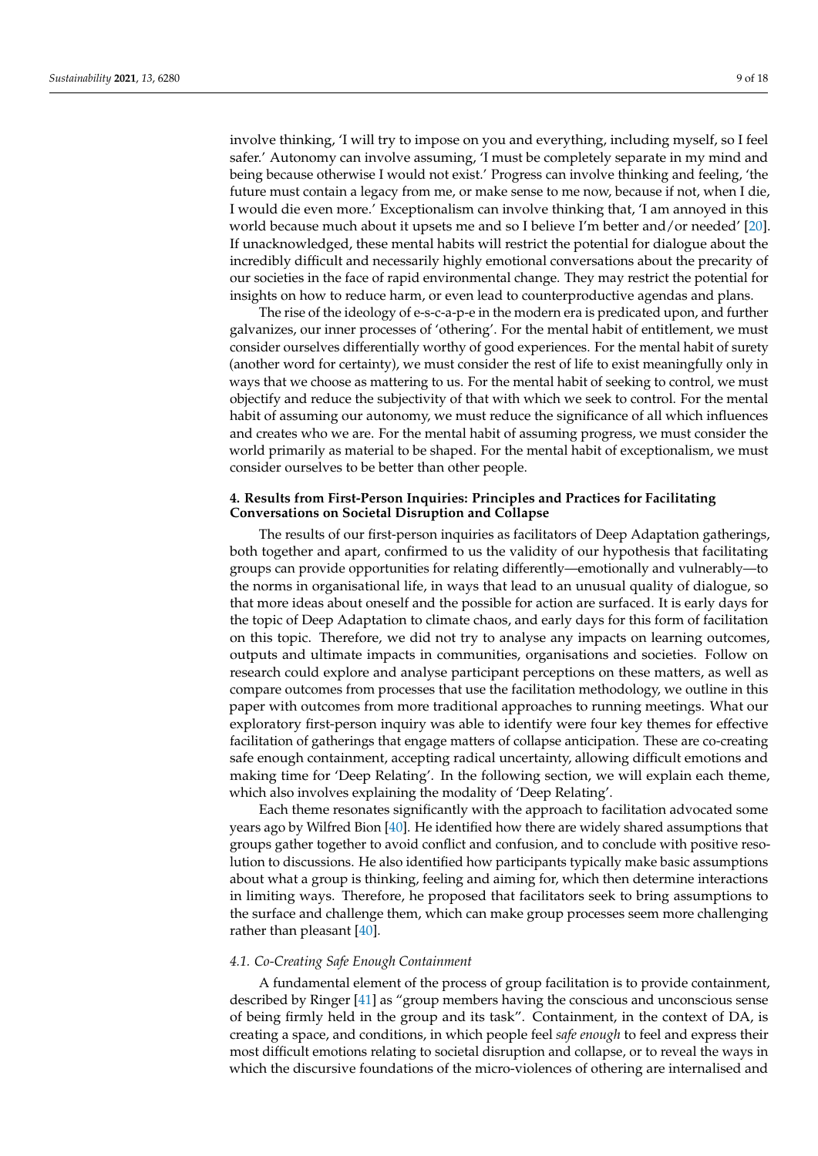involve thinking, 'I will try to impose on you and everything, including myself, so I feel safer.' Autonomy can involve assuming, 'I must be completely separate in my mind and being because otherwise I would not exist.' Progress can involve thinking and feeling, 'the future must contain a legacy from me, or make sense to me now, because if not, when I die, I would die even more.' Exceptionalism can involve thinking that, 'I am annoyed in this world because much about it upsets me and so I believe I'm better and/or needed' [\[20\]](#page-16-19). If unacknowledged, these mental habits will restrict the potential for dialogue about the incredibly difficult and necessarily highly emotional conversations about the precarity of our societies in the face of rapid environmental change. They may restrict the potential for insights on how to reduce harm, or even lead to counterproductive agendas and plans.

The rise of the ideology of e-s-c-a-p-e in the modern era is predicated upon, and further galvanizes, our inner processes of 'othering'. For the mental habit of entitlement, we must consider ourselves differentially worthy of good experiences. For the mental habit of surety (another word for certainty), we must consider the rest of life to exist meaningfully only in ways that we choose as mattering to us. For the mental habit of seeking to control, we must objectify and reduce the subjectivity of that with which we seek to control. For the mental habit of assuming our autonomy, we must reduce the significance of all which influences and creates who we are. For the mental habit of assuming progress, we must consider the world primarily as material to be shaped. For the mental habit of exceptionalism, we must consider ourselves to be better than other people.

# **4. Results from First-Person Inquiries: Principles and Practices for Facilitating Conversations on Societal Disruption and Collapse**

The results of our first-person inquiries as facilitators of Deep Adaptation gatherings, both together and apart, confirmed to us the validity of our hypothesis that facilitating groups can provide opportunities for relating differently—emotionally and vulnerably—to the norms in organisational life, in ways that lead to an unusual quality of dialogue, so that more ideas about oneself and the possible for action are surfaced. It is early days for the topic of Deep Adaptation to climate chaos, and early days for this form of facilitation on this topic. Therefore, we did not try to analyse any impacts on learning outcomes, outputs and ultimate impacts in communities, organisations and societies. Follow on research could explore and analyse participant perceptions on these matters, as well as compare outcomes from processes that use the facilitation methodology, we outline in this paper with outcomes from more traditional approaches to running meetings. What our exploratory first-person inquiry was able to identify were four key themes for effective facilitation of gatherings that engage matters of collapse anticipation. These are co-creating safe enough containment, accepting radical uncertainty, allowing difficult emotions and making time for 'Deep Relating'. In the following section, we will explain each theme, which also involves explaining the modality of 'Deep Relating'.

Each theme resonates significantly with the approach to facilitation advocated some years ago by Wilfred Bion [\[40\]](#page-17-7). He identified how there are widely shared assumptions that groups gather together to avoid conflict and confusion, and to conclude with positive resolution to discussions. He also identified how participants typically make basic assumptions about what a group is thinking, feeling and aiming for, which then determine interactions in limiting ways. Therefore, he proposed that facilitators seek to bring assumptions to the surface and challenge them, which can make group processes seem more challenging rather than pleasant [\[40\]](#page-17-7).

#### *4.1. Co-Creating Safe Enough Containment*

A fundamental element of the process of group facilitation is to provide containment, described by Ringer [\[41\]](#page-17-8) as "group members having the conscious and unconscious sense of being firmly held in the group and its task". Containment, in the context of DA, is creating a space, and conditions, in which people feel *safe enough* to feel and express their most difficult emotions relating to societal disruption and collapse, or to reveal the ways in which the discursive foundations of the micro-violences of othering are internalised and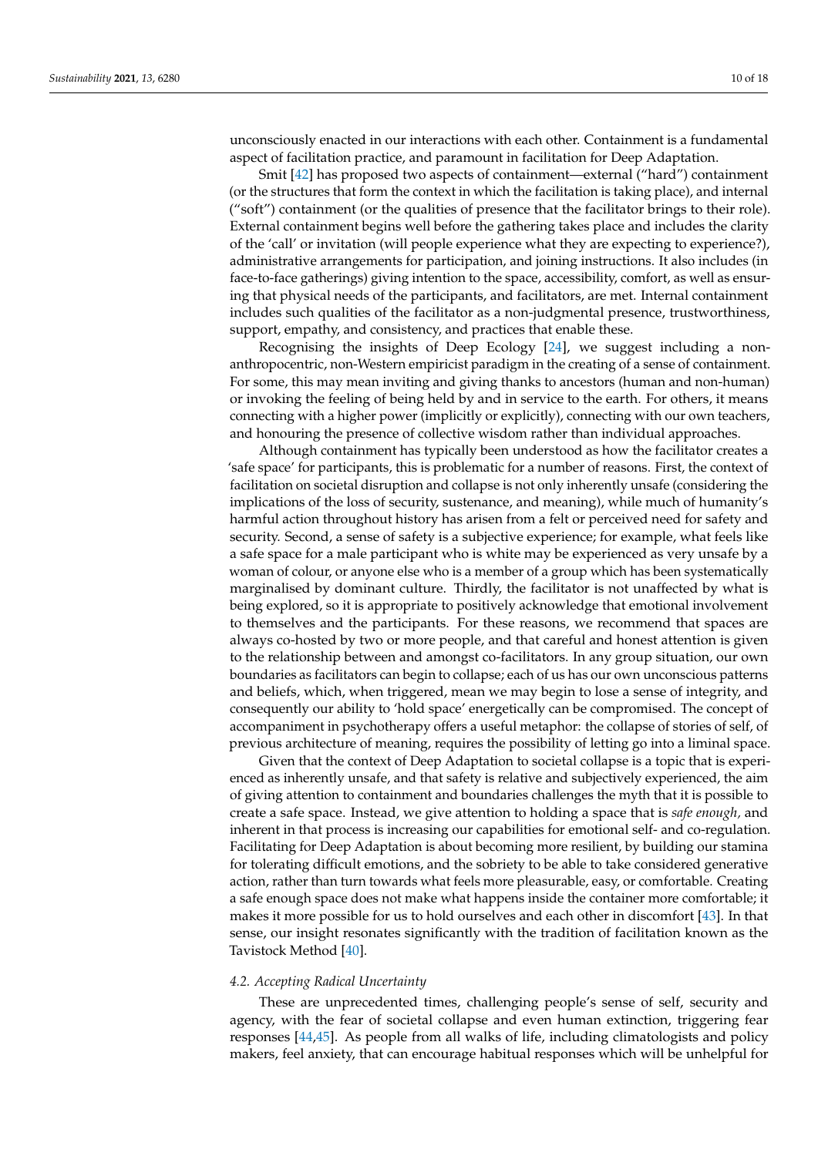unconsciously enacted in our interactions with each other. Containment is a fundamental aspect of facilitation practice, and paramount in facilitation for Deep Adaptation.

Smit [\[42\]](#page-17-9) has proposed two aspects of containment—external ("hard") containment (or the structures that form the context in which the facilitation is taking place), and internal ("soft") containment (or the qualities of presence that the facilitator brings to their role). External containment begins well before the gathering takes place and includes the clarity of the 'call' or invitation (will people experience what they are expecting to experience?), administrative arrangements for participation, and joining instructions. It also includes (in face-to-face gatherings) giving intention to the space, accessibility, comfort, as well as ensuring that physical needs of the participants, and facilitators, are met. Internal containment includes such qualities of the facilitator as a non-judgmental presence, trustworthiness, support, empathy, and consistency, and practices that enable these.

Recognising the insights of Deep Ecology [\[24\]](#page-16-23), we suggest including a nonanthropocentric, non-Western empiricist paradigm in the creating of a sense of containment. For some, this may mean inviting and giving thanks to ancestors (human and non-human) or invoking the feeling of being held by and in service to the earth. For others, it means connecting with a higher power (implicitly or explicitly), connecting with our own teachers, and honouring the presence of collective wisdom rather than individual approaches.

Although containment has typically been understood as how the facilitator creates a 'safe space' for participants, this is problematic for a number of reasons. First, the context of facilitation on societal disruption and collapse is not only inherently unsafe (considering the implications of the loss of security, sustenance, and meaning), while much of humanity's harmful action throughout history has arisen from a felt or perceived need for safety and security. Second, a sense of safety is a subjective experience; for example, what feels like a safe space for a male participant who is white may be experienced as very unsafe by a woman of colour, or anyone else who is a member of a group which has been systematically marginalised by dominant culture. Thirdly, the facilitator is not unaffected by what is being explored, so it is appropriate to positively acknowledge that emotional involvement to themselves and the participants. For these reasons, we recommend that spaces are always co-hosted by two or more people, and that careful and honest attention is given to the relationship between and amongst co-facilitators. In any group situation, our own boundaries as facilitators can begin to collapse; each of us has our own unconscious patterns and beliefs, which, when triggered, mean we may begin to lose a sense of integrity, and consequently our ability to 'hold space' energetically can be compromised. The concept of accompaniment in psychotherapy offers a useful metaphor: the collapse of stories of self, of previous architecture of meaning, requires the possibility of letting go into a liminal space.

Given that the context of Deep Adaptation to societal collapse is a topic that is experienced as inherently unsafe, and that safety is relative and subjectively experienced, the aim of giving attention to containment and boundaries challenges the myth that it is possible to create a safe space. Instead, we give attention to holding a space that is *safe enough,* and inherent in that process is increasing our capabilities for emotional self- and co-regulation. Facilitating for Deep Adaptation is about becoming more resilient, by building our stamina for tolerating difficult emotions, and the sobriety to be able to take considered generative action, rather than turn towards what feels more pleasurable, easy, or comfortable. Creating a safe enough space does not make what happens inside the container more comfortable; it makes it more possible for us to hold ourselves and each other in discomfort [\[43\]](#page-17-10). In that sense, our insight resonates significantly with the tradition of facilitation known as the Tavistock Method [\[40\]](#page-17-7).

# *4.2. Accepting Radical Uncertainty*

These are unprecedented times, challenging people's sense of self, security and agency, with the fear of societal collapse and even human extinction, triggering fear responses [\[44,](#page-17-11)[45\]](#page-17-12). As people from all walks of life, including climatologists and policy makers, feel anxiety, that can encourage habitual responses which will be unhelpful for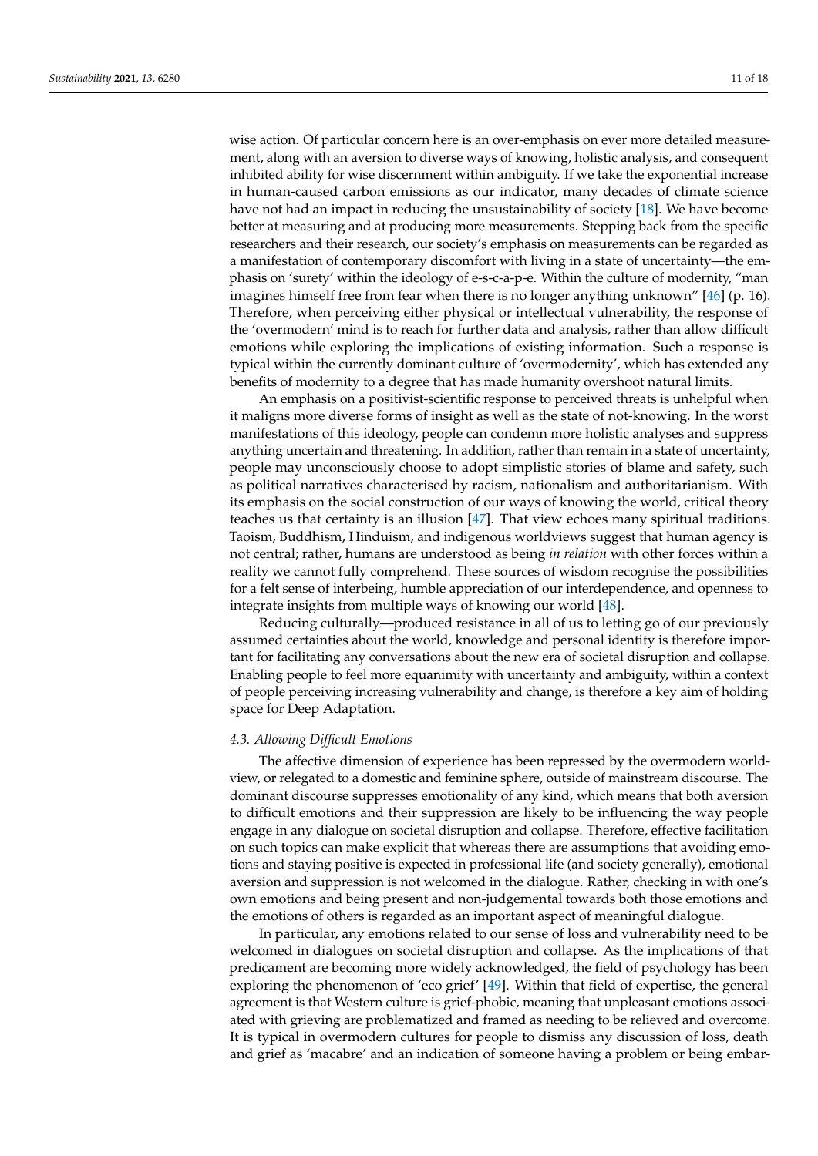wise action. Of particular concern here is an over-emphasis on ever more detailed measurement, along with an aversion to diverse ways of knowing, holistic analysis, and consequent inhibited ability for wise discernment within ambiguity. If we take the exponential increase in human-caused carbon emissions as our indicator, many decades of climate science have not had an impact in reducing the unsustainability of society [\[18\]](#page-16-17). We have become better at measuring and at producing more measurements. Stepping back from the specific researchers and their research, our society's emphasis on measurements can be regarded as a manifestation of contemporary discomfort with living in a state of uncertainty—the emphasis on 'surety' within the ideology of e-s-c-a-p-e. Within the culture of modernity, "man imagines himself free from fear when there is no longer anything unknown" [\[46\]](#page-17-13) (p. 16). Therefore, when perceiving either physical or intellectual vulnerability, the response of the 'overmodern' mind is to reach for further data and analysis, rather than allow difficult emotions while exploring the implications of existing information. Such a response is typical within the currently dominant culture of 'overmodernity', which has extended any benefits of modernity to a degree that has made humanity overshoot natural limits.

An emphasis on a positivist-scientific response to perceived threats is unhelpful when it maligns more diverse forms of insight as well as the state of not-knowing. In the worst manifestations of this ideology, people can condemn more holistic analyses and suppress anything uncertain and threatening. In addition, rather than remain in a state of uncertainty, people may unconsciously choose to adopt simplistic stories of blame and safety, such as political narratives characterised by racism, nationalism and authoritarianism. With its emphasis on the social construction of our ways of knowing the world, critical theory teaches us that certainty is an illusion [\[47\]](#page-17-14). That view echoes many spiritual traditions. Taoism, Buddhism, Hinduism, and indigenous worldviews suggest that human agency is not central; rather, humans are understood as being *in relation* with other forces within a reality we cannot fully comprehend. These sources of wisdom recognise the possibilities for a felt sense of interbeing, humble appreciation of our interdependence, and openness to integrate insights from multiple ways of knowing our world [\[48\]](#page-17-15).

Reducing culturally—produced resistance in all of us to letting go of our previously assumed certainties about the world, knowledge and personal identity is therefore important for facilitating any conversations about the new era of societal disruption and collapse. Enabling people to feel more equanimity with uncertainty and ambiguity, within a context of people perceiving increasing vulnerability and change, is therefore a key aim of holding space for Deep Adaptation.

#### *4.3. Allowing Difficult Emotions*

The affective dimension of experience has been repressed by the overmodern worldview, or relegated to a domestic and feminine sphere, outside of mainstream discourse. The dominant discourse suppresses emotionality of any kind, which means that both aversion to difficult emotions and their suppression are likely to be influencing the way people engage in any dialogue on societal disruption and collapse. Therefore, effective facilitation on such topics can make explicit that whereas there are assumptions that avoiding emotions and staying positive is expected in professional life (and society generally), emotional aversion and suppression is not welcomed in the dialogue. Rather, checking in with one's own emotions and being present and non-judgemental towards both those emotions and the emotions of others is regarded as an important aspect of meaningful dialogue.

In particular, any emotions related to our sense of loss and vulnerability need to be welcomed in dialogues on societal disruption and collapse. As the implications of that predicament are becoming more widely acknowledged, the field of psychology has been exploring the phenomenon of 'eco grief' [\[49\]](#page-17-16). Within that field of expertise, the general agreement is that Western culture is grief-phobic, meaning that unpleasant emotions associated with grieving are problematized and framed as needing to be relieved and overcome. It is typical in overmodern cultures for people to dismiss any discussion of loss, death and grief as 'macabre' and an indication of someone having a problem or being embar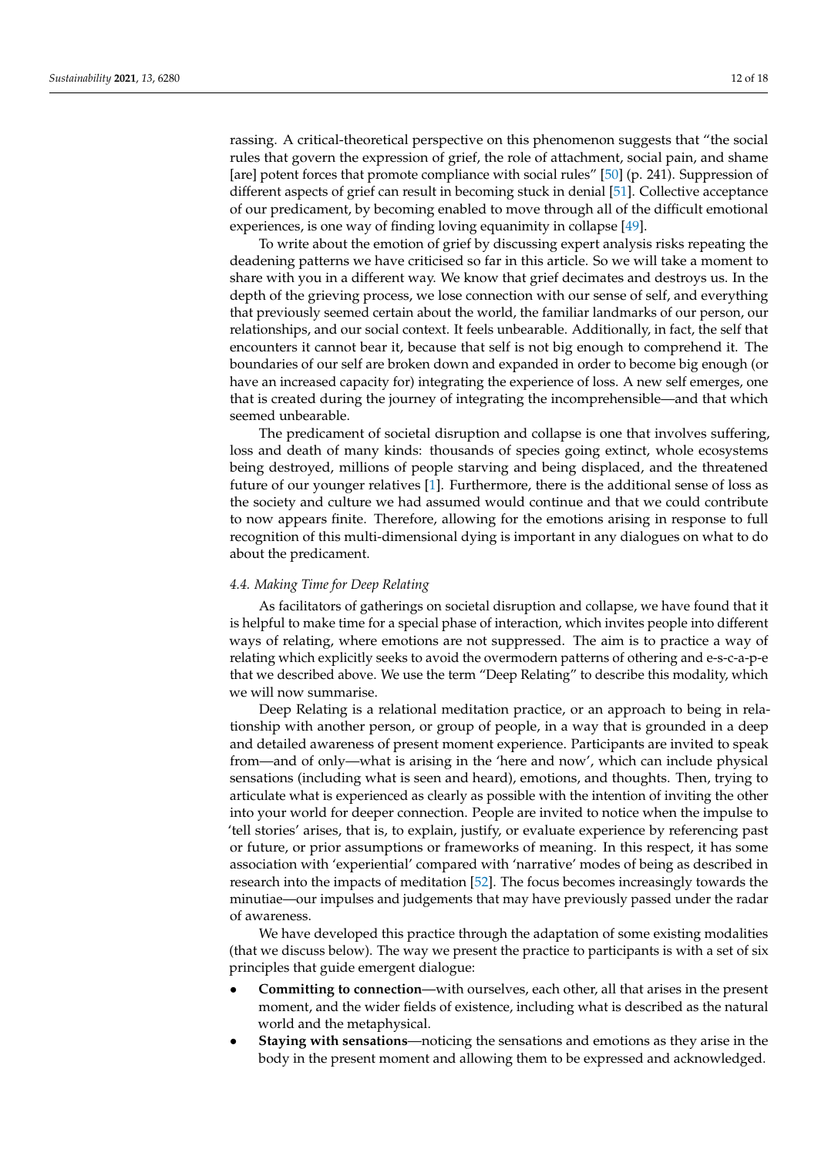rassing. A critical-theoretical perspective on this phenomenon suggests that "the social rules that govern the expression of grief, the role of attachment, social pain, and shame [are] potent forces that promote compliance with social rules" [\[50\]](#page-17-17) (p. 241). Suppression of different aspects of grief can result in becoming stuck in denial [\[51\]](#page-17-18). Collective acceptance of our predicament, by becoming enabled to move through all of the difficult emotional experiences, is one way of finding loving equanimity in collapse [\[49\]](#page-17-16).

To write about the emotion of grief by discussing expert analysis risks repeating the deadening patterns we have criticised so far in this article. So we will take a moment to share with you in a different way. We know that grief decimates and destroys us. In the depth of the grieving process, we lose connection with our sense of self, and everything that previously seemed certain about the world, the familiar landmarks of our person, our relationships, and our social context. It feels unbearable. Additionally, in fact, the self that encounters it cannot bear it, because that self is not big enough to comprehend it. The boundaries of our self are broken down and expanded in order to become big enough (or have an increased capacity for) integrating the experience of loss. A new self emerges, one that is created during the journey of integrating the incomprehensible—and that which seemed unbearable.

The predicament of societal disruption and collapse is one that involves suffering, loss and death of many kinds: thousands of species going extinct, whole ecosystems being destroyed, millions of people starving and being displaced, and the threatened future of our younger relatives [\[1\]](#page-16-0). Furthermore, there is the additional sense of loss as the society and culture we had assumed would continue and that we could contribute to now appears finite. Therefore, allowing for the emotions arising in response to full recognition of this multi-dimensional dying is important in any dialogues on what to do about the predicament.

#### *4.4. Making Time for Deep Relating*

As facilitators of gatherings on societal disruption and collapse, we have found that it is helpful to make time for a special phase of interaction, which invites people into different ways of relating, where emotions are not suppressed. The aim is to practice a way of relating which explicitly seeks to avoid the overmodern patterns of othering and e-s-c-a-p-e that we described above. We use the term "Deep Relating" to describe this modality, which we will now summarise.

Deep Relating is a relational meditation practice, or an approach to being in relationship with another person, or group of people, in a way that is grounded in a deep and detailed awareness of present moment experience. Participants are invited to speak from—and of only—what is arising in the 'here and now', which can include physical sensations (including what is seen and heard), emotions, and thoughts. Then, trying to articulate what is experienced as clearly as possible with the intention of inviting the other into your world for deeper connection. People are invited to notice when the impulse to 'tell stories' arises, that is, to explain, justify, or evaluate experience by referencing past or future, or prior assumptions or frameworks of meaning. In this respect, it has some association with 'experiential' compared with 'narrative' modes of being as described in research into the impacts of meditation [\[52\]](#page-17-19). The focus becomes increasingly towards the minutiae—our impulses and judgements that may have previously passed under the radar of awareness.

We have developed this practice through the adaptation of some existing modalities (that we discuss below). The way we present the practice to participants is with a set of six principles that guide emergent dialogue:

- **Committing to connection**—with ourselves, each other, all that arises in the present moment, and the wider fields of existence, including what is described as the natural world and the metaphysical.
- **Staying with sensations**—noticing the sensations and emotions as they arise in the body in the present moment and allowing them to be expressed and acknowledged.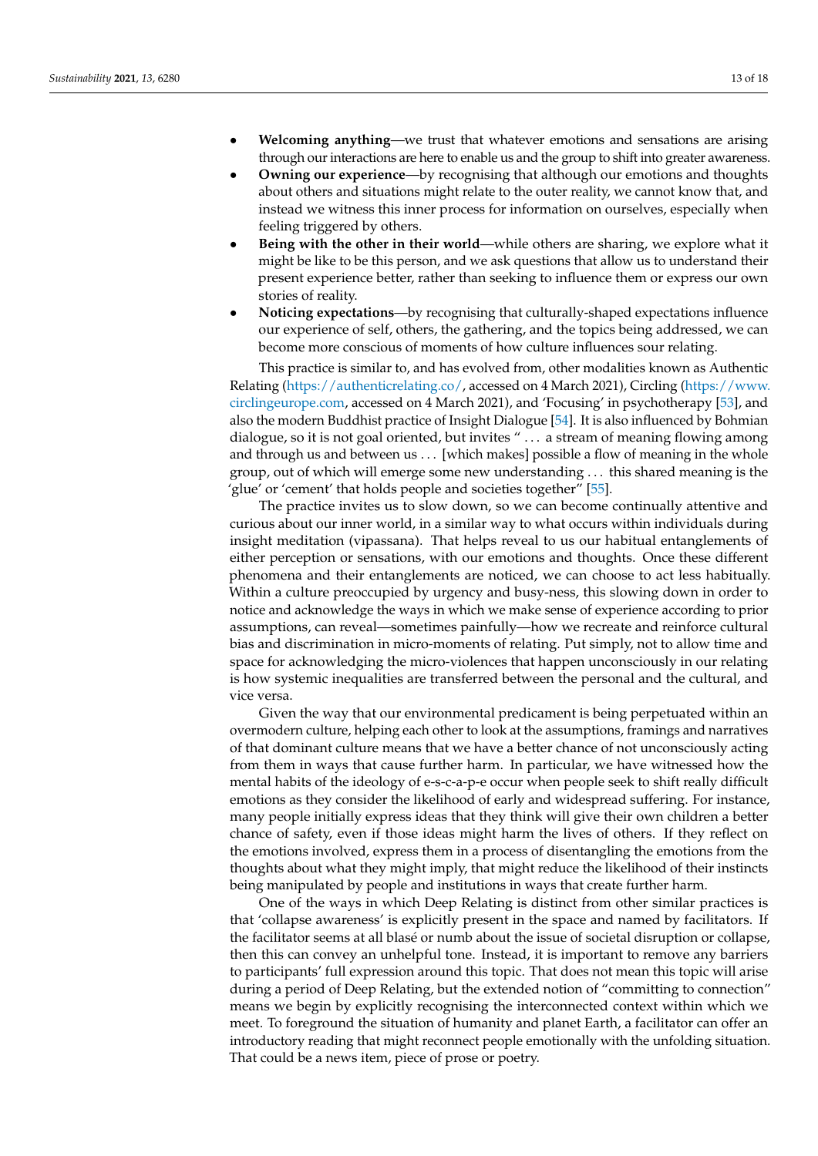- **Welcoming anything**—we trust that whatever emotions and sensations are arising through our interactions are here to enable us and the group to shift into greater awareness.
- **Owning our experience**—by recognising that although our emotions and thoughts about others and situations might relate to the outer reality, we cannot know that, and instead we witness this inner process for information on ourselves, especially when feeling triggered by others.
- **Being with the other in their world**—while others are sharing, we explore what it might be like to be this person, and we ask questions that allow us to understand their present experience better, rather than seeking to influence them or express our own stories of reality.
- **Noticing expectations**—by recognising that culturally-shaped expectations influence our experience of self, others, the gathering, and the topics being addressed, we can become more conscious of moments of how culture influences sour relating.

This practice is similar to, and has evolved from, other modalities known as Authentic Relating [\(https://authenticrelating.co/,](https://authenticrelating.co/) accessed on 4 March 2021), Circling [\(https://www.](https://www.circlingeurope.com) [circlingeurope.com,](https://www.circlingeurope.com) accessed on 4 March 2021), and 'Focusing' in psychotherapy [\[53\]](#page-17-20), and also the modern Buddhist practice of Insight Dialogue [\[54\]](#page-17-21). It is also influenced by Bohmian dialogue, so it is not goal oriented, but invites " . . . a stream of meaning flowing among and through us and between us . . . [which makes] possible a flow of meaning in the whole group, out of which will emerge some new understanding . . . this shared meaning is the 'glue' or 'cement' that holds people and societies together" [\[55\]](#page-17-22).

The practice invites us to slow down, so we can become continually attentive and curious about our inner world, in a similar way to what occurs within individuals during insight meditation (vipassana). That helps reveal to us our habitual entanglements of either perception or sensations, with our emotions and thoughts. Once these different phenomena and their entanglements are noticed, we can choose to act less habitually. Within a culture preoccupied by urgency and busy-ness, this slowing down in order to notice and acknowledge the ways in which we make sense of experience according to prior assumptions, can reveal—sometimes painfully—how we recreate and reinforce cultural bias and discrimination in micro-moments of relating. Put simply, not to allow time and space for acknowledging the micro-violences that happen unconsciously in our relating is how systemic inequalities are transferred between the personal and the cultural, and vice versa.

Given the way that our environmental predicament is being perpetuated within an overmodern culture, helping each other to look at the assumptions, framings and narratives of that dominant culture means that we have a better chance of not unconsciously acting from them in ways that cause further harm. In particular, we have witnessed how the mental habits of the ideology of e-s-c-a-p-e occur when people seek to shift really difficult emotions as they consider the likelihood of early and widespread suffering. For instance, many people initially express ideas that they think will give their own children a better chance of safety, even if those ideas might harm the lives of others. If they reflect on the emotions involved, express them in a process of disentangling the emotions from the thoughts about what they might imply, that might reduce the likelihood of their instincts being manipulated by people and institutions in ways that create further harm.

One of the ways in which Deep Relating is distinct from other similar practices is that 'collapse awareness' is explicitly present in the space and named by facilitators. If the facilitator seems at all blasé or numb about the issue of societal disruption or collapse, then this can convey an unhelpful tone. Instead, it is important to remove any barriers to participants' full expression around this topic. That does not mean this topic will arise during a period of Deep Relating, but the extended notion of "committing to connection" means we begin by explicitly recognising the interconnected context within which we meet. To foreground the situation of humanity and planet Earth, a facilitator can offer an introductory reading that might reconnect people emotionally with the unfolding situation. That could be a news item, piece of prose or poetry.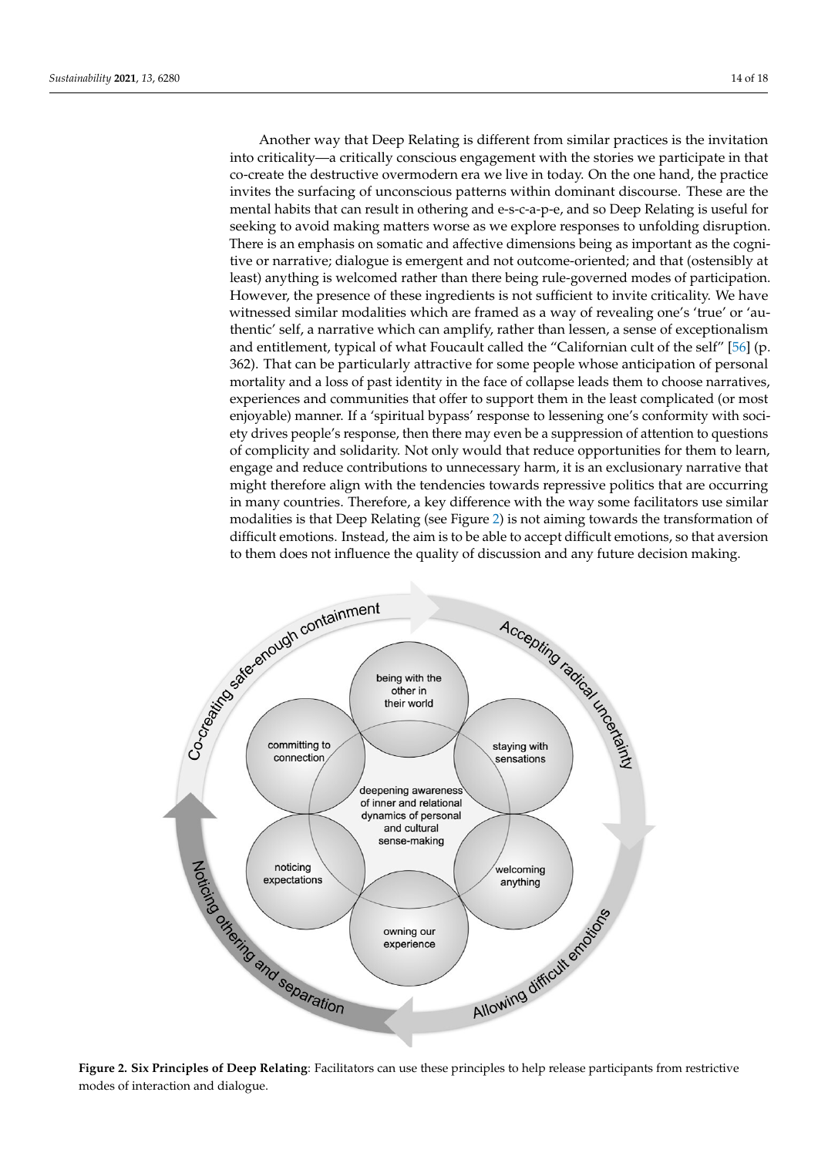Another way that Deep Relating is different from similar practices is the invitation into criticality—a critically conscious engagement with the stories we participate in that co-create the destructive overmodern era we live in today. On the one hand, the practice invites the surfacing of unconscious patterns within dominant discourse. These are the mental habits that can result in othering and e-s-c-a-p-e, and so Deep Relating is useful for seeking to avoid making matters worse as we explore responses to unfolding disruption. There is an emphasis on somatic and affective dimensions being as important as the cognitive or narrative; dialogue is emergent and not outcome-oriented; and that (ostensibly at least) anything is welcomed rather than there being rule-governed modes of participation. However, the presence of these ingredients is not sufficient to invite criticality. We have witnessed similar modalities which are framed as a way of revealing one's 'true' or 'authentic' self, a narrative which can amplify, rather than lessen, a sense of exceptionalism and entitlement, typical of what Foucault called the "Californian cult of the self" [\[56\]](#page-17-23) (p. 362). That can be particularly attractive for some people whose anticipation of personal mortality and a loss of past identity in the face of collapse leads them to choose narratives, experiences and communities that offer to support them in the least complicated (or most enjoyable) manner. If a 'spiritual bypass' response to lessening one's conformity with society drives people's response, then there may even be a suppression of attention to questions of complicity and solidarity. Not only would that reduce opportunities for them to learn, engage and reduce contributions to unnecessary harm, it is an exclusionary narrative that might therefore align with the tendencies towards repressive politics that are occurring in many countries. Therefore, a key difference with the way some facilitators use similar modalities is that Deep Relating (see Figure [2\)](#page-13-0) is not aiming towards the transformation of to them does not influence the quality of discussion and any future decision making.

<span id="page-13-0"></span>

Figure 2. Six Principles of Deep Relating: Facilitators can use these principles to help release participants from restrictive modes of interaction and dialogue. **Figure 2. Six Principles of Deep Relating**: Facilitators can use these principles to help release participants from restrictive modes of interaction and dialogue.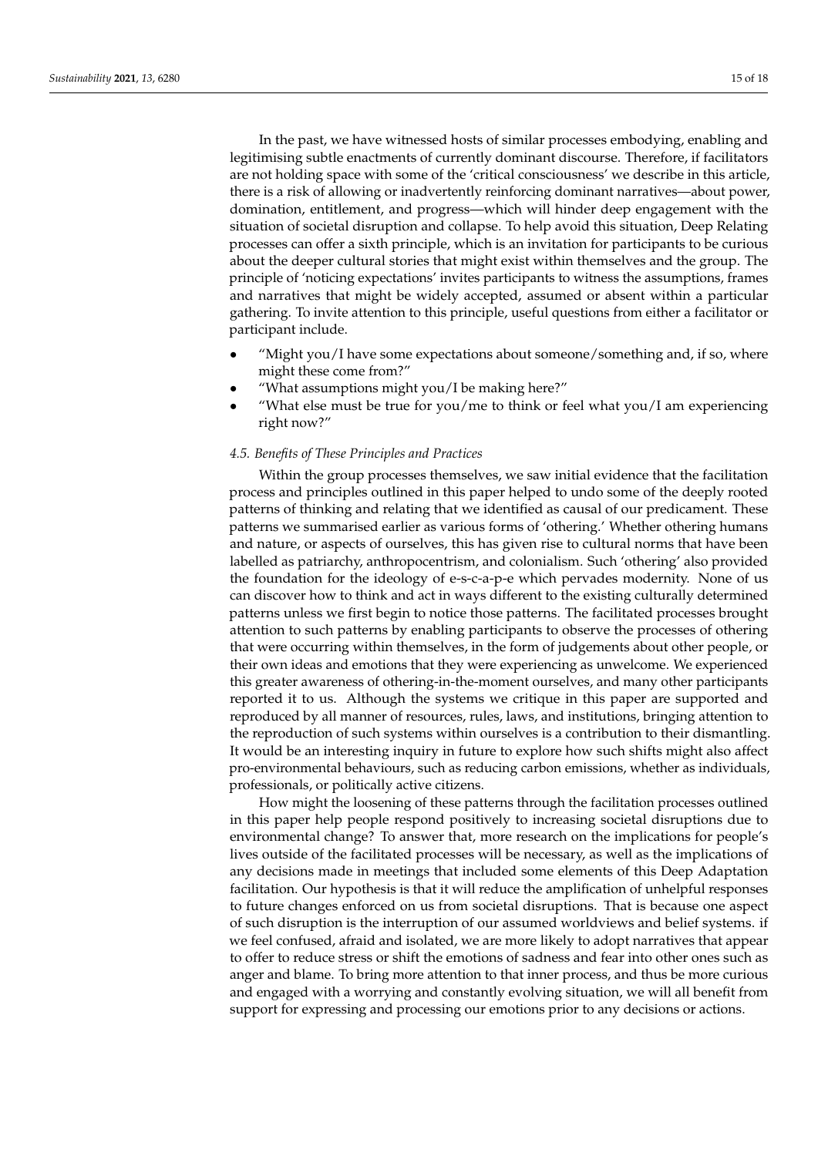In the past, we have witnessed hosts of similar processes embodying, enabling and legitimising subtle enactments of currently dominant discourse. Therefore, if facilitators are not holding space with some of the 'critical consciousness' we describe in this article, there is a risk of allowing or inadvertently reinforcing dominant narratives—about power, domination, entitlement, and progress—which will hinder deep engagement with the situation of societal disruption and collapse. To help avoid this situation, Deep Relating processes can offer a sixth principle, which is an invitation for participants to be curious about the deeper cultural stories that might exist within themselves and the group. The principle of 'noticing expectations' invites participants to witness the assumptions, frames and narratives that might be widely accepted, assumed or absent within a particular gathering. To invite attention to this principle, useful questions from either a facilitator or participant include.

- "Might you/I have some expectations about someone/something and, if so, where might these come from?"
- "What assumptions might you/I be making here?"
- "What else must be true for you/me to think or feel what you/I am experiencing right now?"

#### *4.5. Benefits of These Principles and Practices*

Within the group processes themselves, we saw initial evidence that the facilitation process and principles outlined in this paper helped to undo some of the deeply rooted patterns of thinking and relating that we identified as causal of our predicament. These patterns we summarised earlier as various forms of 'othering.' Whether othering humans and nature, or aspects of ourselves, this has given rise to cultural norms that have been labelled as patriarchy, anthropocentrism, and colonialism. Such 'othering' also provided the foundation for the ideology of e-s-c-a-p-e which pervades modernity. None of us can discover how to think and act in ways different to the existing culturally determined patterns unless we first begin to notice those patterns. The facilitated processes brought attention to such patterns by enabling participants to observe the processes of othering that were occurring within themselves, in the form of judgements about other people, or their own ideas and emotions that they were experiencing as unwelcome. We experienced this greater awareness of othering-in-the-moment ourselves, and many other participants reported it to us. Although the systems we critique in this paper are supported and reproduced by all manner of resources, rules, laws, and institutions, bringing attention to the reproduction of such systems within ourselves is a contribution to their dismantling. It would be an interesting inquiry in future to explore how such shifts might also affect pro-environmental behaviours, such as reducing carbon emissions, whether as individuals, professionals, or politically active citizens.

How might the loosening of these patterns through the facilitation processes outlined in this paper help people respond positively to increasing societal disruptions due to environmental change? To answer that, more research on the implications for people's lives outside of the facilitated processes will be necessary, as well as the implications of any decisions made in meetings that included some elements of this Deep Adaptation facilitation. Our hypothesis is that it will reduce the amplification of unhelpful responses to future changes enforced on us from societal disruptions. That is because one aspect of such disruption is the interruption of our assumed worldviews and belief systems. if we feel confused, afraid and isolated, we are more likely to adopt narratives that appear to offer to reduce stress or shift the emotions of sadness and fear into other ones such as anger and blame. To bring more attention to that inner process, and thus be more curious and engaged with a worrying and constantly evolving situation, we will all benefit from support for expressing and processing our emotions prior to any decisions or actions.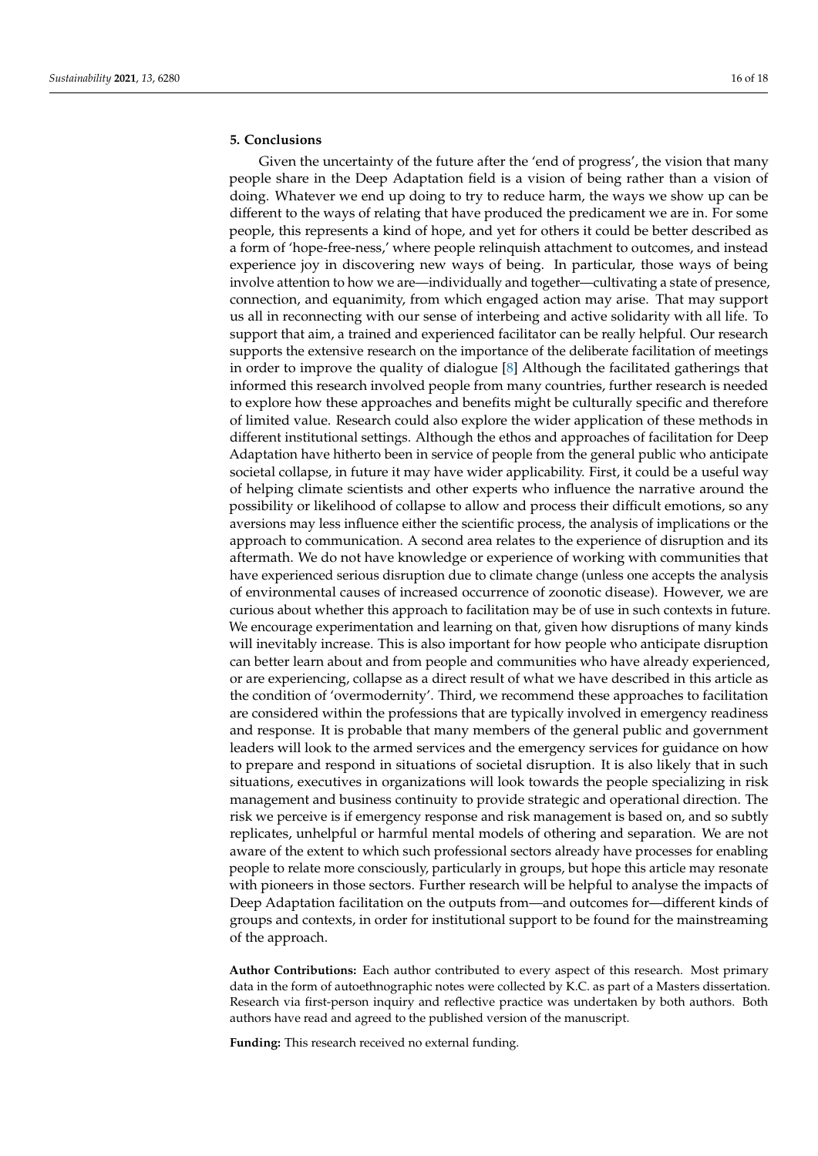# **5. Conclusions**

Given the uncertainty of the future after the 'end of progress', the vision that many people share in the Deep Adaptation field is a vision of being rather than a vision of doing. Whatever we end up doing to try to reduce harm, the ways we show up can be different to the ways of relating that have produced the predicament we are in. For some people, this represents a kind of hope, and yet for others it could be better described as a form of 'hope-free-ness,' where people relinquish attachment to outcomes, and instead experience joy in discovering new ways of being. In particular, those ways of being involve attention to how we are—individually and together—cultivating a state of presence, connection, and equanimity, from which engaged action may arise. That may support us all in reconnecting with our sense of interbeing and active solidarity with all life. To support that aim, a trained and experienced facilitator can be really helpful. Our research supports the extensive research on the importance of the deliberate facilitation of meetings in order to improve the quality of dialogue [\[8\]](#page-16-7) Although the facilitated gatherings that informed this research involved people from many countries, further research is needed to explore how these approaches and benefits might be culturally specific and therefore of limited value. Research could also explore the wider application of these methods in different institutional settings. Although the ethos and approaches of facilitation for Deep Adaptation have hitherto been in service of people from the general public who anticipate societal collapse, in future it may have wider applicability. First, it could be a useful way of helping climate scientists and other experts who influence the narrative around the possibility or likelihood of collapse to allow and process their difficult emotions, so any aversions may less influence either the scientific process, the analysis of implications or the approach to communication. A second area relates to the experience of disruption and its aftermath. We do not have knowledge or experience of working with communities that have experienced serious disruption due to climate change (unless one accepts the analysis of environmental causes of increased occurrence of zoonotic disease). However, we are curious about whether this approach to facilitation may be of use in such contexts in future. We encourage experimentation and learning on that, given how disruptions of many kinds will inevitably increase. This is also important for how people who anticipate disruption can better learn about and from people and communities who have already experienced, or are experiencing, collapse as a direct result of what we have described in this article as the condition of 'overmodernity'. Third, we recommend these approaches to facilitation are considered within the professions that are typically involved in emergency readiness and response. It is probable that many members of the general public and government leaders will look to the armed services and the emergency services for guidance on how to prepare and respond in situations of societal disruption. It is also likely that in such situations, executives in organizations will look towards the people specializing in risk management and business continuity to provide strategic and operational direction. The risk we perceive is if emergency response and risk management is based on, and so subtly replicates, unhelpful or harmful mental models of othering and separation. We are not aware of the extent to which such professional sectors already have processes for enabling people to relate more consciously, particularly in groups, but hope this article may resonate with pioneers in those sectors. Further research will be helpful to analyse the impacts of Deep Adaptation facilitation on the outputs from—and outcomes for—different kinds of groups and contexts, in order for institutional support to be found for the mainstreaming of the approach.

**Author Contributions:** Each author contributed to every aspect of this research. Most primary data in the form of autoethnographic notes were collected by K.C. as part of a Masters dissertation. Research via first-person inquiry and reflective practice was undertaken by both authors. Both authors have read and agreed to the published version of the manuscript.

**Funding:** This research received no external funding.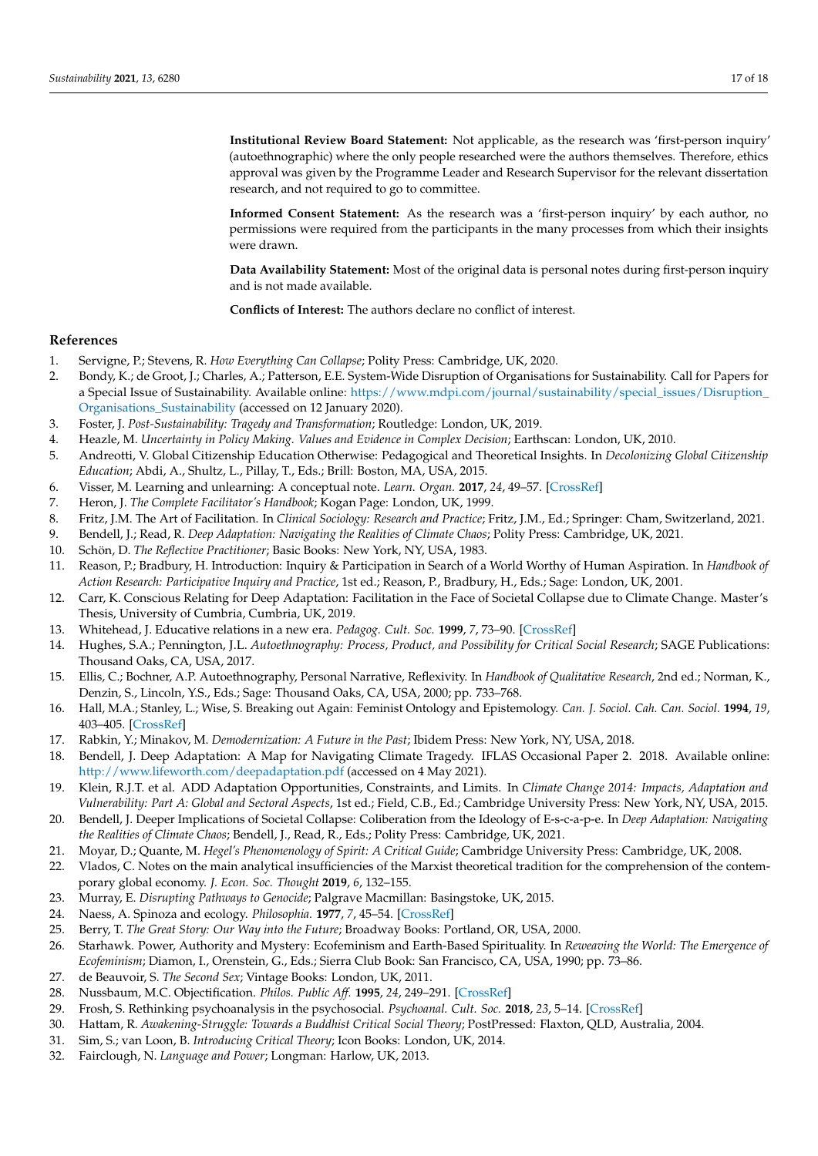**Institutional Review Board Statement:** Not applicable, as the research was 'first-person inquiry' (autoethnographic) where the only people researched were the authors themselves. Therefore, ethics approval was given by the Programme Leader and Research Supervisor for the relevant dissertation research, and not required to go to committee.

**Informed Consent Statement:** As the research was a 'first-person inquiry' by each author, no permissions were required from the participants in the many processes from which their insights were drawn.

**Data Availability Statement:** Most of the original data is personal notes during first-person inquiry and is not made available.

**Conflicts of Interest:** The authors declare no conflict of interest.

#### **References**

- <span id="page-16-0"></span>1. Servigne, P.; Stevens, R. *How Everything Can Collapse*; Polity Press: Cambridge, UK, 2020.
- <span id="page-16-1"></span>2. Bondy, K.; de Groot, J.; Charles, A.; Patterson, E.E. System-Wide Disruption of Organisations for Sustainability. Call for Papers for a Special Issue of Sustainability. Available online: [https://www.mdpi.com/journal/sustainability/special\\_issues/Disruption\\_](https://www.mdpi.com/journal/sustainability/special_issues/Disruption_Organisations_Sustainability) [Organisations\\_Sustainability](https://www.mdpi.com/journal/sustainability/special_issues/Disruption_Organisations_Sustainability) (accessed on 12 January 2020).
- <span id="page-16-2"></span>3. Foster, J. *Post-Sustainability: Tragedy and Transformation*; Routledge: London, UK, 2019.
- <span id="page-16-3"></span>4. Heazle, M. *Uncertainty in Policy Making. Values and Evidence in Complex Decision*; Earthscan: London, UK, 2010.
- <span id="page-16-4"></span>5. Andreotti, V. Global Citizenship Education Otherwise: Pedagogical and Theoretical Insights. In *Decolonizing Global Citizenship Education*; Abdi, A., Shultz, L., Pillay, T., Eds.; Brill: Boston, MA, USA, 2015.
- <span id="page-16-5"></span>6. Visser, M. Learning and unlearning: A conceptual note. *Learn. Organ.* **2017**, *24*, 49–57. [\[CrossRef\]](http://doi.org/10.1108/TLO-10-2016-0070)
- <span id="page-16-6"></span>7. Heron, J. *The Complete Facilitator's Handbook*; Kogan Page: London, UK, 1999.
- <span id="page-16-7"></span>8. Fritz, J.M. The Art of Facilitation. In *Clinical Sociology: Research and Practice*; Fritz, J.M., Ed.; Springer: Cham, Switzerland, 2021.
- <span id="page-16-8"></span>9. Bendell, J.; Read, R. *Deep Adaptation: Navigating the Realities of Climate Chaos*; Polity Press: Cambridge, UK, 2021.
- <span id="page-16-9"></span>10. Schön, D. *The Reflective Practitioner*; Basic Books: New York, NY, USA, 1983.
- <span id="page-16-10"></span>11. Reason, P.; Bradbury, H. Introduction: Inquiry & Participation in Search of a World Worthy of Human Aspiration. In *Handbook of Action Research: Participative Inquiry and Practice*, 1st ed.; Reason, P., Bradbury, H., Eds.; Sage: London, UK, 2001.
- <span id="page-16-11"></span>12. Carr, K. Conscious Relating for Deep Adaptation: Facilitation in the Face of Societal Collapse due to Climate Change. Master's Thesis, University of Cumbria, Cumbria, UK, 2019.
- <span id="page-16-12"></span>13. Whitehead, J. Educative relations in a new era. *Pedagog. Cult. Soc.* **1999**, *7*, 73–90. [\[CrossRef\]](http://doi.org/10.1080/14681369900200051)
- <span id="page-16-13"></span>14. Hughes, S.A.; Pennington, J.L. *Autoethnography: Process, Product, and Possibility for Critical Social Research*; SAGE Publications: Thousand Oaks, CA, USA, 2017.
- <span id="page-16-14"></span>15. Ellis, C.; Bochner, A.P. Autoethnography, Personal Narrative, Reflexivity. In *Handbook of Qualitative Research*, 2nd ed.; Norman, K., Denzin, S., Lincoln, Y.S., Eds.; Sage: Thousand Oaks, CA, USA, 2000; pp. 733–768.
- <span id="page-16-15"></span>16. Hall, M.A.; Stanley, L.; Wise, S. Breaking out Again: Feminist Ontology and Epistemology. *Can. J. Sociol. Cah. Can. Sociol.* **1994**, *19*, 403–405. [\[CrossRef\]](http://doi.org/10.2307/3340731)
- <span id="page-16-16"></span>17. Rabkin, Y.; Minakov, M. *Demodernization: A Future in the Past*; Ibidem Press: New York, NY, USA, 2018.
- <span id="page-16-17"></span>18. Bendell, J. Deep Adaptation: A Map for Navigating Climate Tragedy. IFLAS Occasional Paper 2. 2018. Available online: <http://www.lifeworth.com/deepadaptation.pdf> (accessed on 4 May 2021).
- <span id="page-16-18"></span>19. Klein, R.J.T. et al. ADD Adaptation Opportunities, Constraints, and Limits. In *Climate Change 2014: Impacts, Adaptation and Vulnerability: Part A: Global and Sectoral Aspects*, 1st ed.; Field, C.B., Ed.; Cambridge University Press: New York, NY, USA, 2015.
- <span id="page-16-19"></span>20. Bendell, J. Deeper Implications of Societal Collapse: Coliberation from the Ideology of E-s-c-a-p-e. In *Deep Adaptation: Navigating the Realities of Climate Chaos*; Bendell, J., Read, R., Eds.; Polity Press: Cambridge, UK, 2021.
- <span id="page-16-20"></span>21. Moyar, D.; Quante, M. *Hegel's Phenomenology of Spirit: A Critical Guide*; Cambridge University Press: Cambridge, UK, 2008.
- <span id="page-16-21"></span>22. Vlados, C. Notes on the main analytical insufficiencies of the Marxist theoretical tradition for the comprehension of the contemporary global economy. *J. Econ. Soc. Thought* **2019**, *6*, 132–155.
- <span id="page-16-22"></span>23. Murray, E. *Disrupting Pathways to Genocide*; Palgrave Macmillan: Basingstoke, UK, 2015.
- <span id="page-16-23"></span>24. Naess, A. Spinoza and ecology. *Philosophia.* **1977**, *7*, 45–54. [\[CrossRef\]](http://doi.org/10.1007/BF02379991)
- <span id="page-16-24"></span>25. Berry, T. *The Great Story: Our Way into the Future*; Broadway Books: Portland, OR, USA, 2000.
- <span id="page-16-25"></span>26. Starhawk. Power, Authority and Mystery: Ecofeminism and Earth-Based Spirituality. In *Reweaving the World: The Emergence of Ecofeminism*; Diamon, I., Orenstein, G., Eds.; Sierra Club Book: San Francisco, CA, USA, 1990; pp. 73–86.
- <span id="page-16-26"></span>27. de Beauvoir, S. *The Second Sex*; Vintage Books: London, UK, 2011.
- <span id="page-16-27"></span>28. Nussbaum, M.C. Objectification. *Philos. Public Aff.* **1995**, *24*, 249–291. [\[CrossRef\]](http://doi.org/10.1111/j.1088-4963.1995.tb00032.x)
- <span id="page-16-28"></span>29. Frosh, S. Rethinking psychoanalysis in the psychosocial. *Psychoanal. Cult. Soc.* **2018**, *23*, 5–14. [\[CrossRef\]](http://doi.org/10.1057/s41282-018-0072-5)
- <span id="page-16-29"></span>30. Hattam, R. *Awakening-Struggle: Towards a Buddhist Critical Social Theory*; PostPressed: Flaxton, QLD, Australia, 2004.
- <span id="page-16-30"></span>31. Sim, S.; van Loon, B. *Introducing Critical Theory*; Icon Books: London, UK, 2014.
- <span id="page-16-31"></span>32. Fairclough, N. *Language and Power*; Longman: Harlow, UK, 2013.